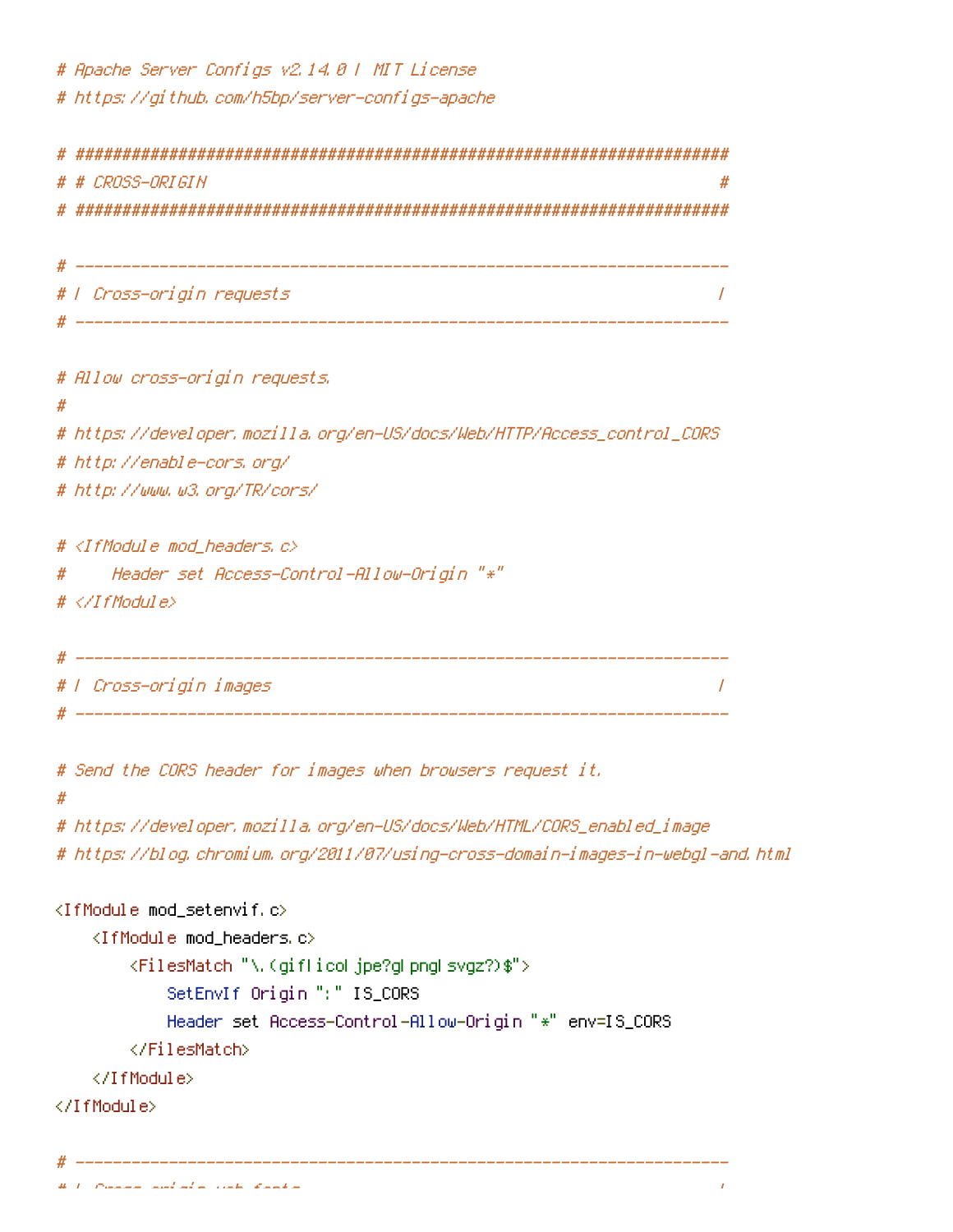# Apache Server Configs v2.14.0 | MIT License # https://github.com/h5bp/server-configs-apache

# CROSS-ORIGIN  $\#$ # | Cross-origin requests  $\overline{1}$ # Allow cross-origin requests. # # https://developer.mozilla.org/en-US/docs/Web/HTTP/Access\_control\_CORS # http://enable-cors.org/ # http://www.w3.org/TR/cors/ #  $\langle$ IfModule mod headers,  $c$ > Header set Access-Control-Allow-Origin "\*" #  $# \triangle$ /TfModule> # | Cross-origin images  $\overline{1}$ # Send the CORS header for images when browsers request it. Ħ # https://developer.mozilla.org/en-US/docs/Web/HTML/CORS\_enabled\_image # https://blog.chromium.org/2011/07/using-cross-domain-images-in-webgl-and.html  $\langle$ IfModule mod setenvif.c> <IfModule mod\_headers.c> <FilesMatch "\.(giflicoljpe?glpngLsvgz?)\$"> SetEnvIf Origin ":" IS\_CORS Header set Access-Control-Allow-Origin "\*" env=IS\_CORS </FilesMatch> </TfModule> </TfModule>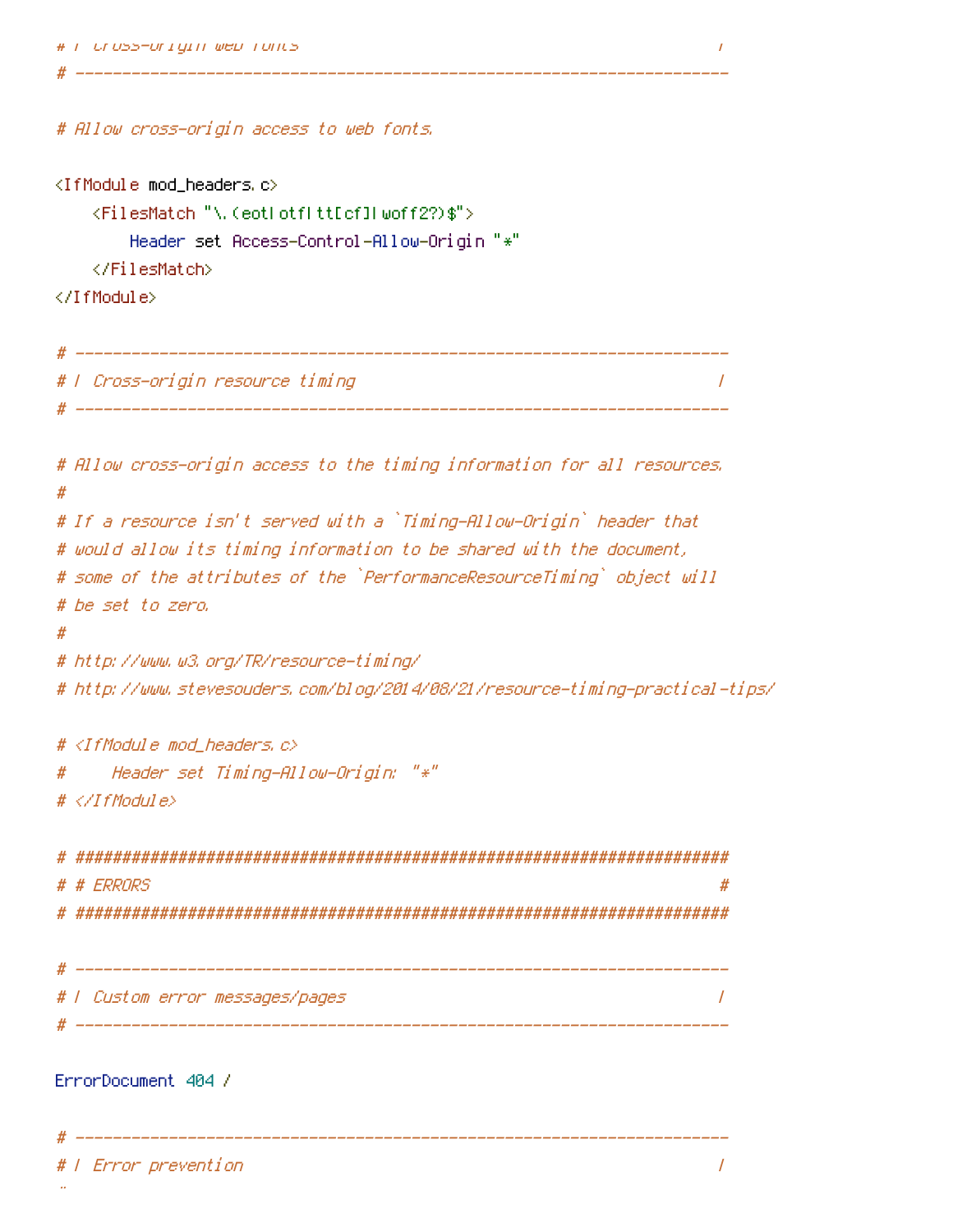```
# F Uross-origin web fonts
```

```
# Allow cross-origin access to web fonts.
```

```
<IfModule mod headers.c>
```

```
<FilesMatch "\, (eotLotfLtt[cf]Lwoff2?)$">
```

```
Header set Access-Control-Allow-Origin "*"
```
</FilesMatch>

</IfModule>

```
# F Cross-origin resource timing
                \prime
```
 $\overline{I}$ 

```
# Allow cross-origin access to the timing information for all resources.
## If a resource isn't served with a `Timing-Allow-Origin` header that
# would allow its timing information to be shared with the document,
# some of the attributes of the `PerformanceResourceTiming` object will
# be set to zero,
#
# http://www.w3.org/TR/resource-timing/
# http://www.stevesouders.com/blog/2014/08/21/resource-timing-practical-tips/
# <IfModule mod_headers.c>
   Header set Timing-Allow-Origin: "*"
#
# </IfModule>
 # # ERRORS
                                                 ## | Custom error messages/pages
                                                \primeErrorDocument 404 /
               ______________
# | Error prevention
                                                 \overline{I}
```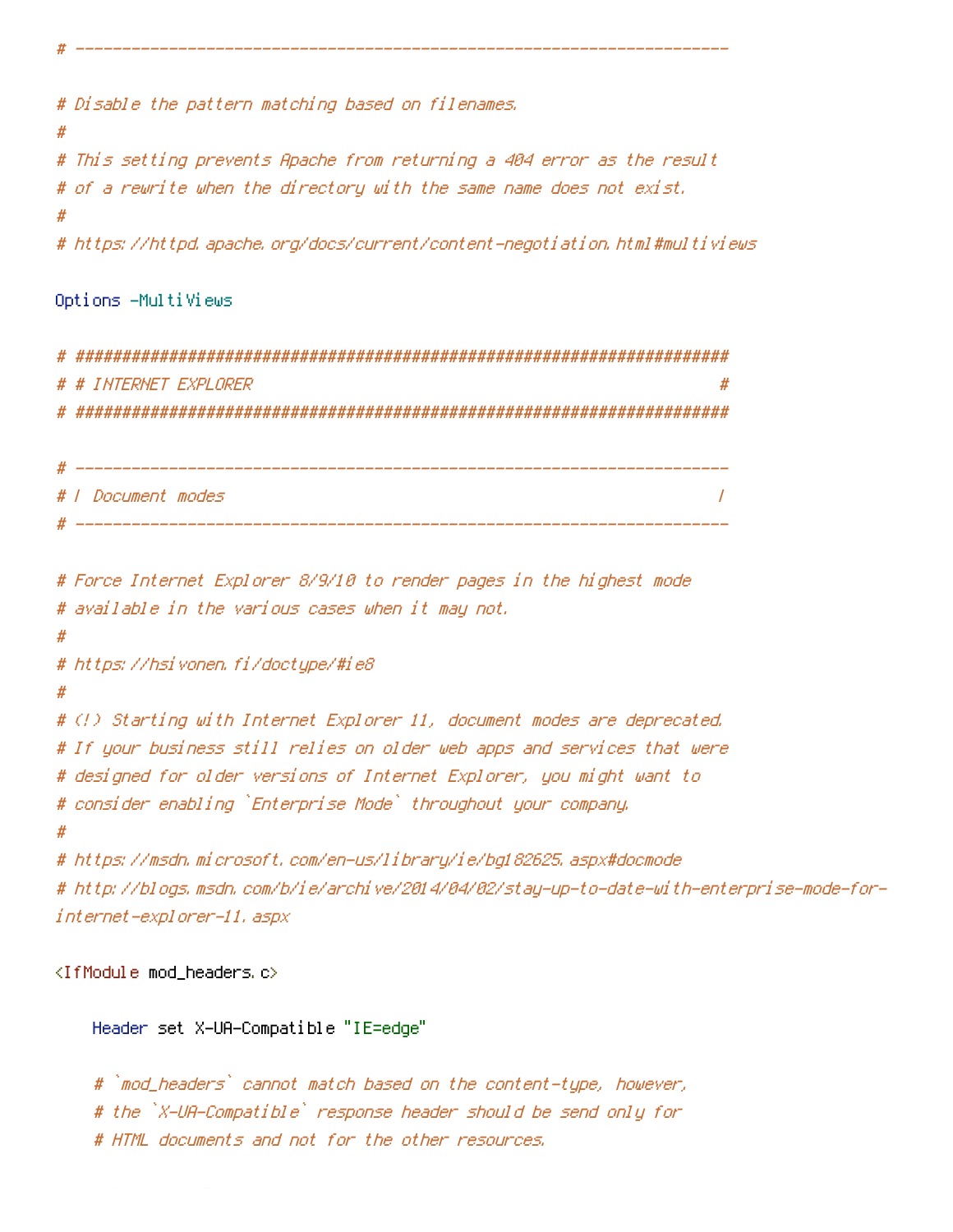# Disable the pattern matching based on filenames.

# This setting prevents Apache from returning a 404 error as the result # of a rewrite when the directory with the same name does not exist.

# https://httpd.apache.org/docs/current/content-negotiation.html#multiviews

```
Options -MultiViews
```
#

#

# # INTERNET EXPLORER 

# *I Document modes*  $\prime$ 

# Force Internet Explorer 8/9/10 to render pages in the highest mode # available in the various cases when it may not. # # https://hsivonen.fi/doctype/#ie8 # # (!) Starting with Internet Explorer 11, document modes are deprecated. # If your business still relies on older web apps and services that were # designed for older versions of Internet Explorer, you might want to # consider enabling `Enterprise Mode` throughout your company, # https://msdn.microsoft.com/en-us/library/ie/bg182625.aspx#docmode # http://blogs.msdn.com/b/ie/archive/2014/04/02/stay-up-to-date-with-enterprise-mode-for-

<IfModule mod\_headers c>

internet-explorer-11, aspx

Header set X-UA-Compatible "IE=edge"

# `mod\_headers` cannot match based on the content—type, however, # the `X-UA-Compatible` response header should be send only for # HTML documents and not for the other resources.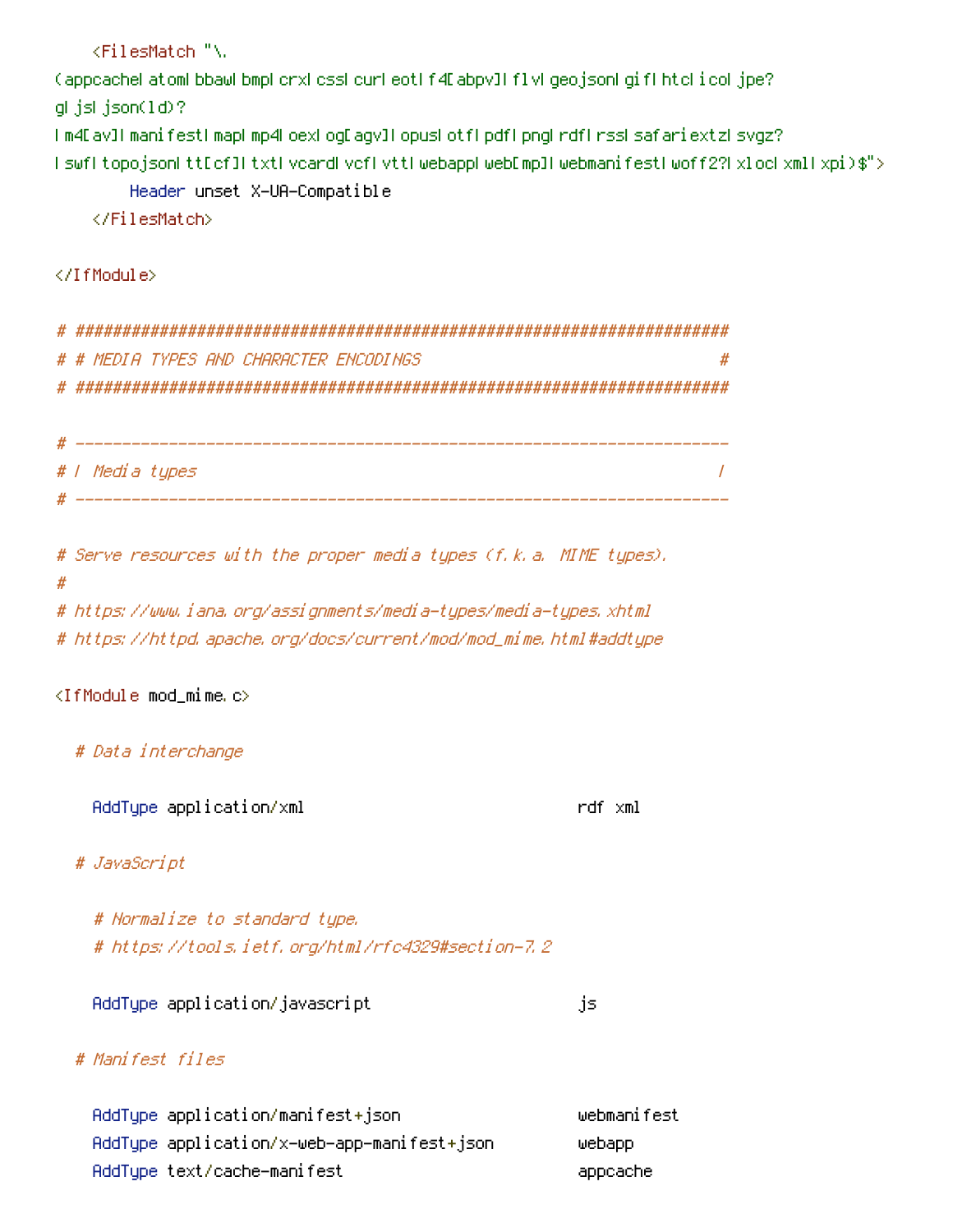<FilesMatch "\. (appcachel atoml bbawl bmpl crxl cssl curl eoti f4E abpv]l f1vl geo.jsonl gif1 htcl i col.jpe? glijslijson(1d)? I m4E av]I manifestI mapI mp4LoexLogEagv]I opusLotfLpdfLpngLrdfLrssLsafariextzLsvgz? I swfl topojsonLttEcf]LtxtLvcardLvcfLvttLwebappLwebEmp]LwebmanifestLwoff2?LxLocLxmlLxpi)\$"> Header unset X-UA-Compatible </FilesMatch>

</IfModule>

# # MEDIA TYPES AND CHARACTER ENCODINGS  $\boldsymbol{H}$ 

# / Media tupes  $\overline{I}$ 

# Serve resources with the proper media types (f.k.a. MIME types). # # https://www.iana.org/assignments/media-types/media-types.xhtml

# https://httpd.apache.org/docs/current/mod/mod\_mime.html#addtupe

 $\langle$ IfModule mod\_mime.c $\rangle$ 

# Data interchange

AddTupe application/xml

rdf xml

# JavaScript

# Normalize to standard type. # https://tools.ietf.org/html/rfc4329#section-7.2

AddTupe application/javascript

js.

## # Manifest files

webmanifest AddType application/manifest+json AddType application/x-web-app-manifest+json webapp AddTupe text/cache-manifest appcache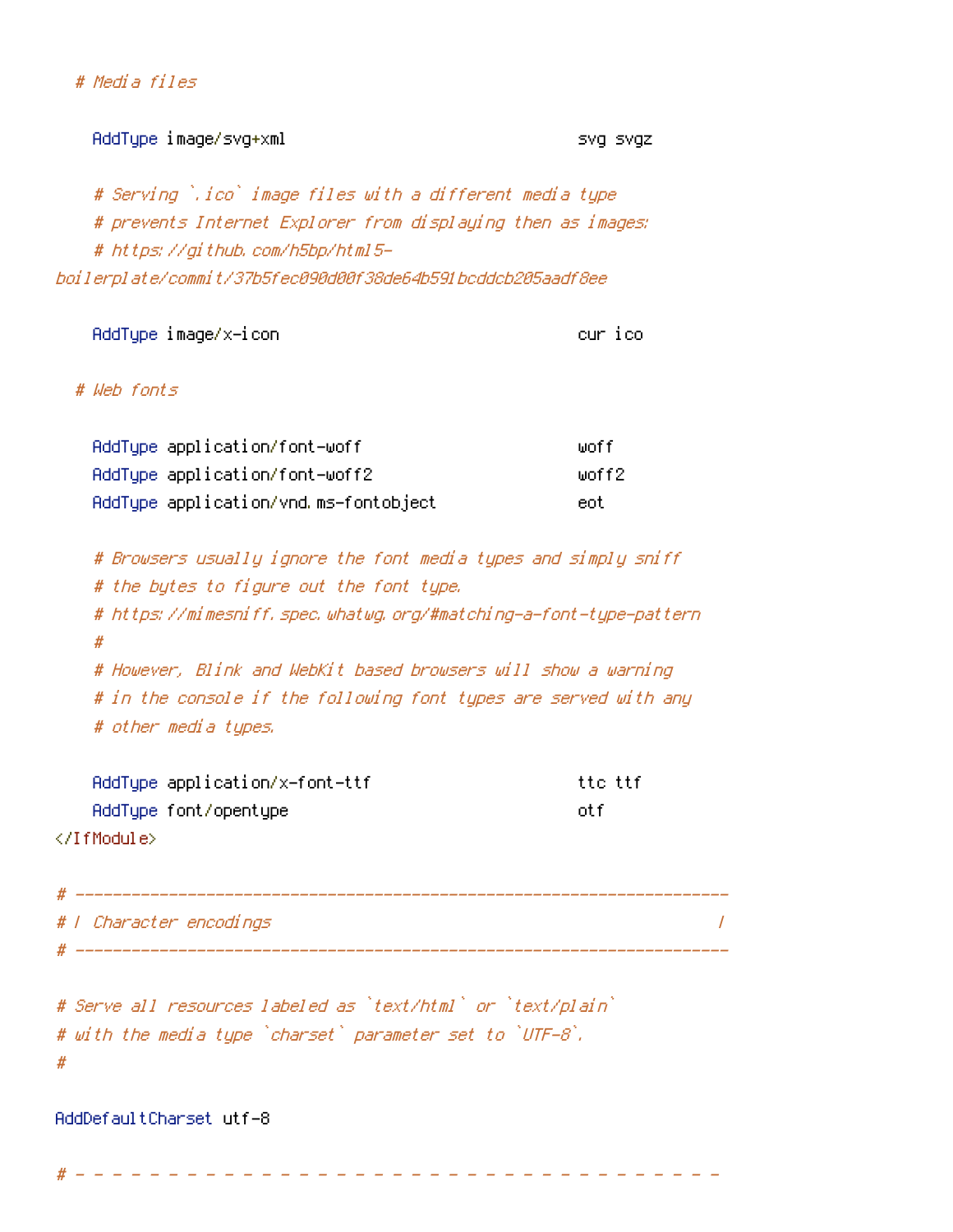| – د 171ص |  |
|----------|--|
|          |  |
|          |  |

AddTupe image/svq+xml

SVg SVgz

# Serving `.ico` image files with a different media type # prevents Internet Explorer from displaying then as images: # https://github.com/h5bp/html5boilerplate/commit/37b5fec090d00f38de64b591bcddcb205aadf8ee

AddType image/x-icon

cur ico

# Web fants

| AddType application/font-woff         | liinf f  |
|---------------------------------------|----------|
| AddType application/font-woff2        | liinff2. |
| AddType application/vnd.ms-fontobject | eot      |

# Browsers usually ignore the font media types and simply sniff # the bytes to figure out the font type. # https://mimesniff.spec.whatwg.org/#matching-a-font-type-pattern  $#$ # However, Blink and WebKit based browsers will show a warning # in the console if the following font types are served with any # other media types.

AddType application/x-font-ttf AddType font/opentype </IfModule>

ttc ttf ot f

 $\overline{u}$ 

| # / Character encodings |  |
|-------------------------|--|
|                         |  |

# Serve all resources labeled as `text/html` or `text/plain` # with the media type `charset` parameter set to `UTF-8`.  $#$ 

AddDefaultCharset utf-8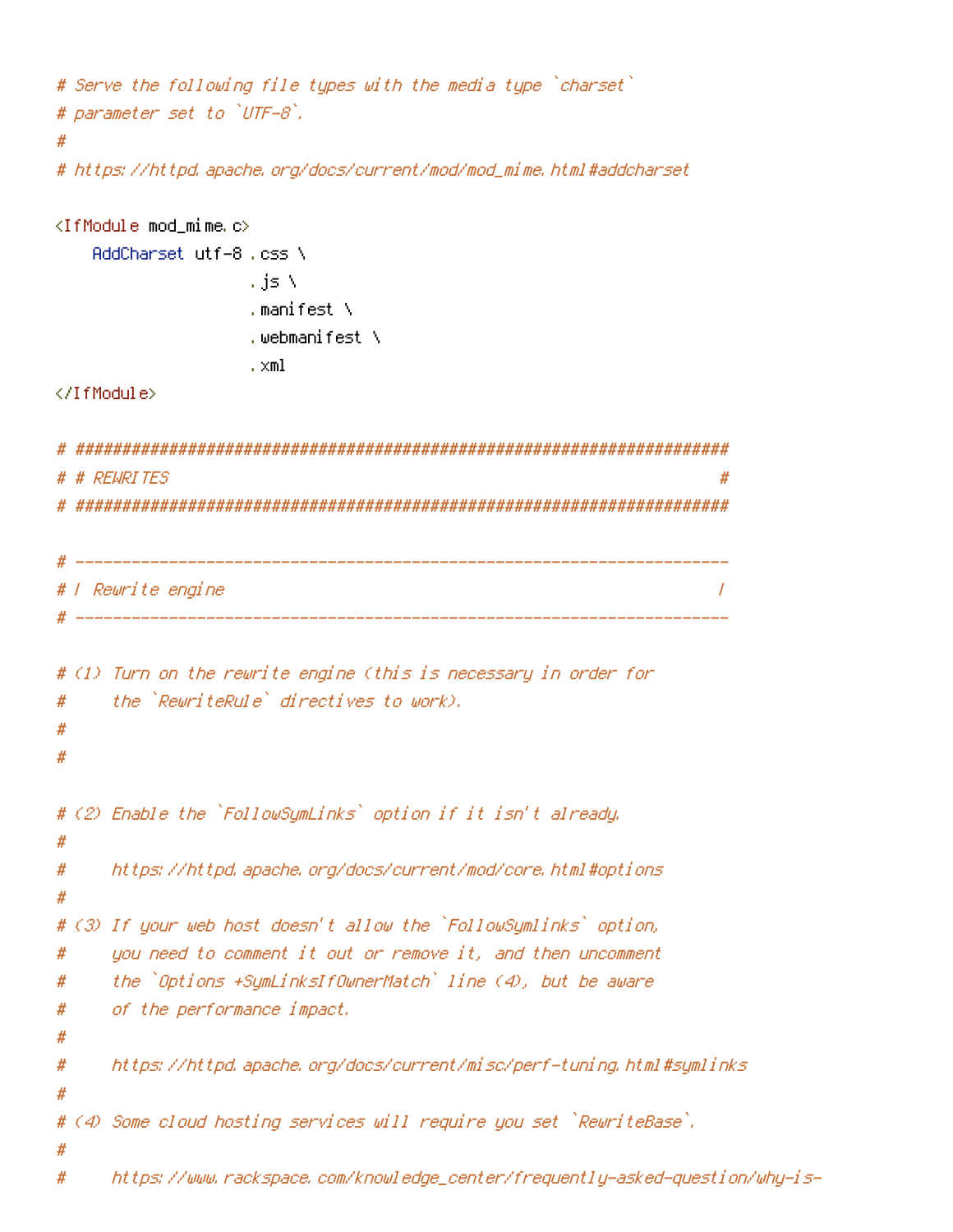```
# Serve the following file types with the media type `charset`
# parameter set to `UTF-8`.
#
# https://httpd.apache.org/docs/current/mod/mod_mime.html#addcharset
<IfModule mod_mime.c>
   AddCharset utf-8, css \
                 , is \lambda. manifest \setminus.webmanifest ∖
                 . xml
</IfModule>
# REWRITES
                                                          #
# l Rewrite engine
                                                          \overline{I}# (1) Turn on the rewrite engine (this is necessary in order for
    the `RewriteRule` directives to work).
#
#
#
# (2) Enable the `FollowSymLinks` option if it isn't already.
#
    https://httpd.apache.org/docs/current/mod/core.html#options
#
#
# (3) If your web host doesn't allow the `FollowSymlinks` option,
    you need to comment it out or remove it, and then uncomment
#
    the `Options +SymLinksIfOwnerMatch` line (4), but be aware
#
    of the performance impact.
#
#
    https://httpd.apache.org/docs/current/misc/perf-tuning.html#symlinks
#
Ħ
# (4) Some cloud hosting services will require you set `RewriteBase`.
#
#
    https://www.rackspace.com/knowledge_center/frequently-asked-question/why-is-
```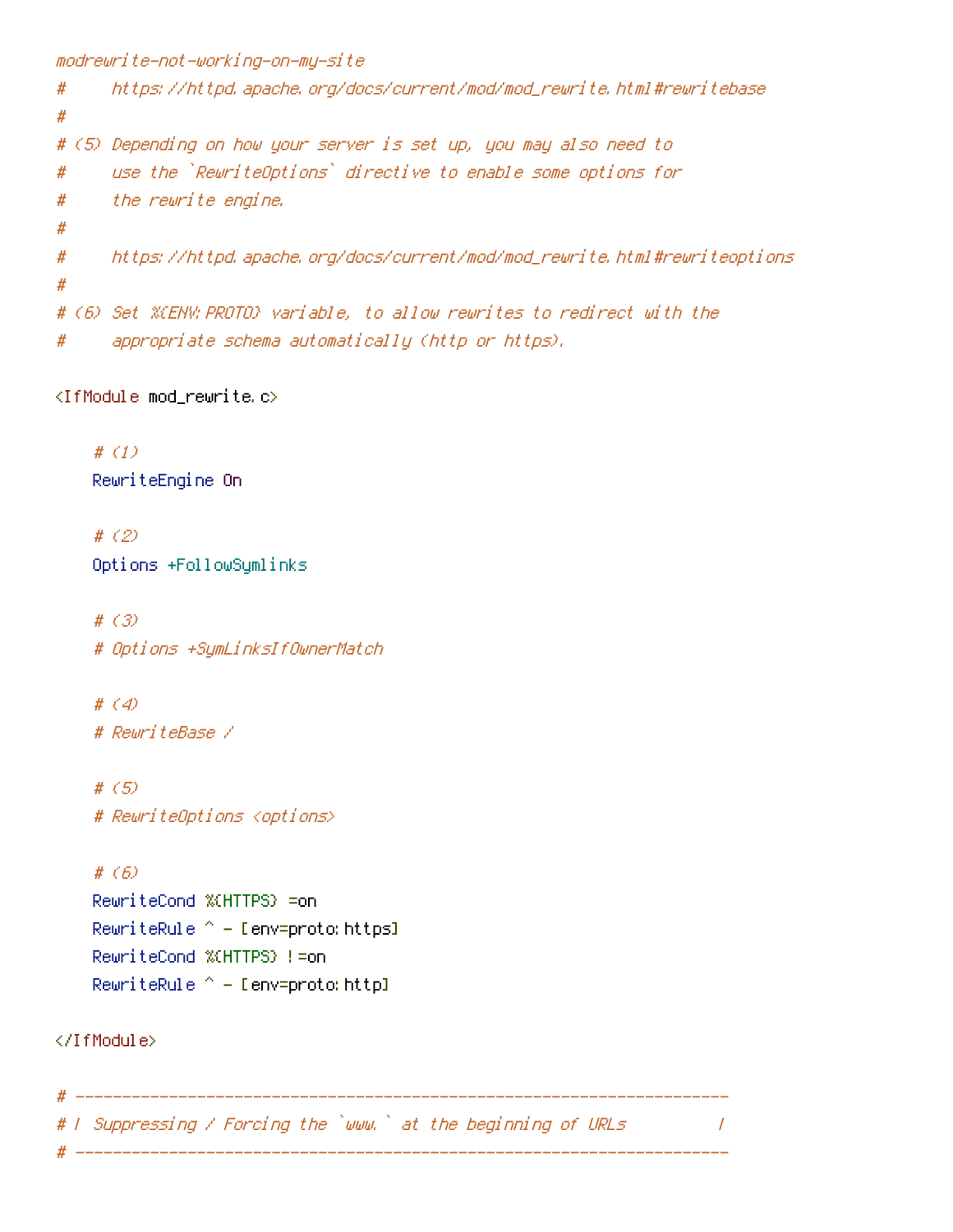```
modrewrite-not-working-on-my-site
     https://httpd.apache.org/docs/current/mod/mod_rewrite.html#rewritebase
#
#
# (5) Depending on how your server is set up, you may also need to
      use the `RewriteOptions` directive to enable some options for
#the rewrite engine.
#
#https://httpd.apache.org/docs/current/mod/mod_rewrite.html#rewriteoptions
### (6) Set %(ENV: PROTO) variable, to allow rewrites to redirect with the
      appropriate schema automatically (http or https).
#
```
<IfModule mod\_rewrite.c>

 $#(1)$ RewriteEngine On

# $(2)$ Options +FollowSymlinks

#  $(3)$ # Options +SymLinksIfOwnerMatch

#  $(4)$ # RewriteBase /

#  $(5)$ # RewriteOptions <options>

#  $(f)$ RewriteCond %(HTTPS) =on RewriteRule  $^{\wedge}$  - [env=proto: https] RewriteCond %(HTTPS) != on RewriteRule ^ - Denv=proto: httpl

</TfModule>

# ------------------# W Suppressing / Forcing the `www.` at the beginning of URLs  $\overline{1}$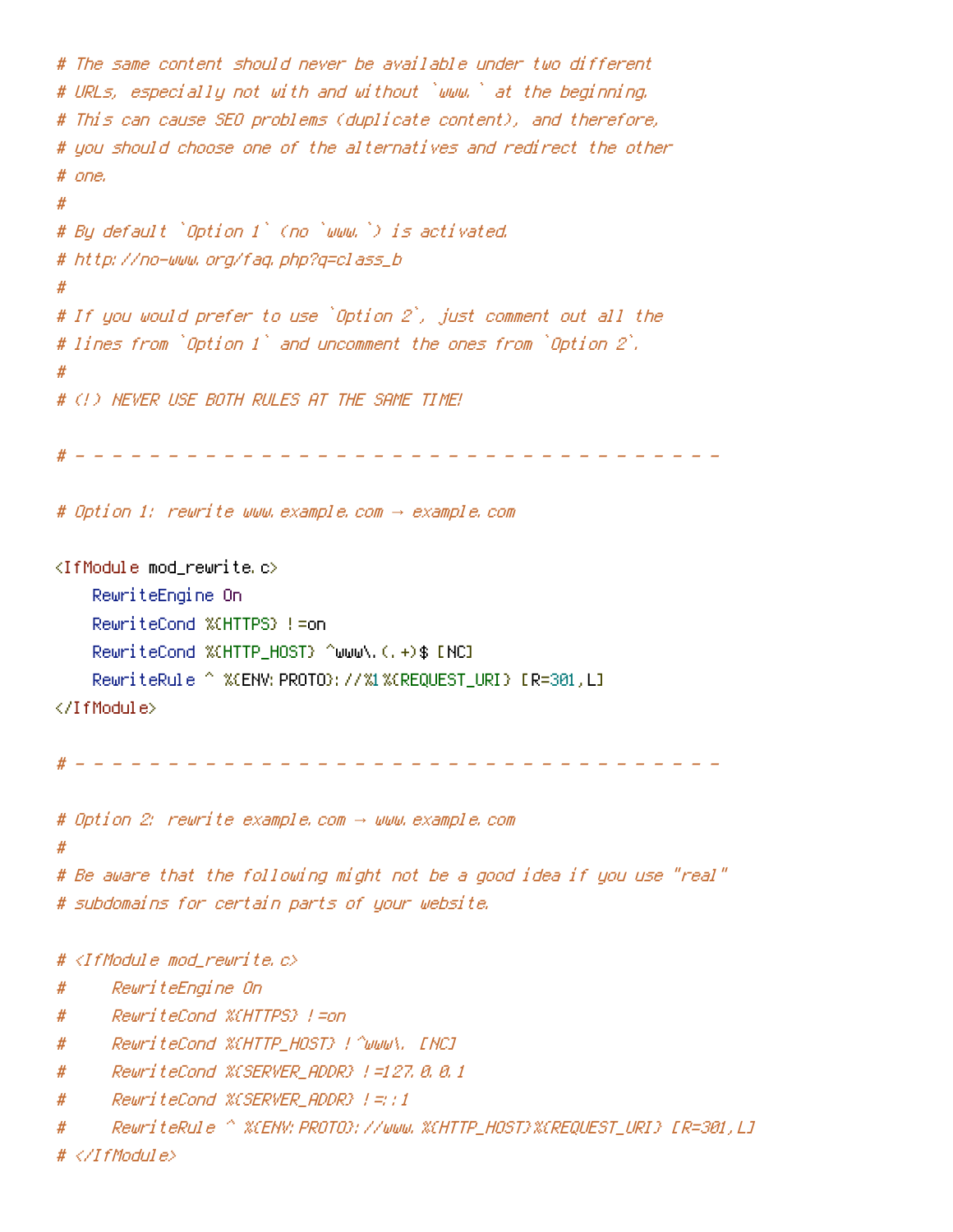```
# The same content should never be available under two different
# URLs, especially not with and without `www,` at the beginning.
# This can cause SEO problems (duplicate content), and therefore,
# uou should choose one of the alternatives and redirect the other
# one.
## By default `Option 1` (no `www.`) is activated.
# http://no-www.org/faq.php?q=class_b
# If you would prefer to use `Option 2`, just comment out all the
# lines from `Option 1` and uncomment the ones from `Option 2`.
#
# (!) NEVER USE BOTH RULES AT THE SAME TIME!
                                          <u>a a a a a a a a</u>
# Option 1: rewrite www.example.com -> example.com
<IfModule mod rewrite.c>
    RewriteEngine On
    RewriteCond %(HTTPS) != on
    RewriteCond %(HTTP HOST) ^www\.(,+)$ [NC]
    RewriteRule ^ %(ENV; PROTO);                                 //%1%(REQUEST_URI) [R=301,L]
</IfModule>
                                              المناسب المناسبات
# Option 2: rewrite example.com -> www.example.com
# Be aware that the following might not be a good idea if you use "real"
# subdomains for certain parts of your website.
# <IfModule mod rewrite.c>
      RewriteEngine On
#
     RewriteCond %(HTTPS) !=on
#
     RewriteCond %CHTTP_HOST} ! ^www\, [NC]
#
     ReuriteCond %CSERVER ADDR} |=127.8.8.1
#
      ReuriteCond %(SERVER ADDR) |=;;1
#
      #
# </IfModule>
```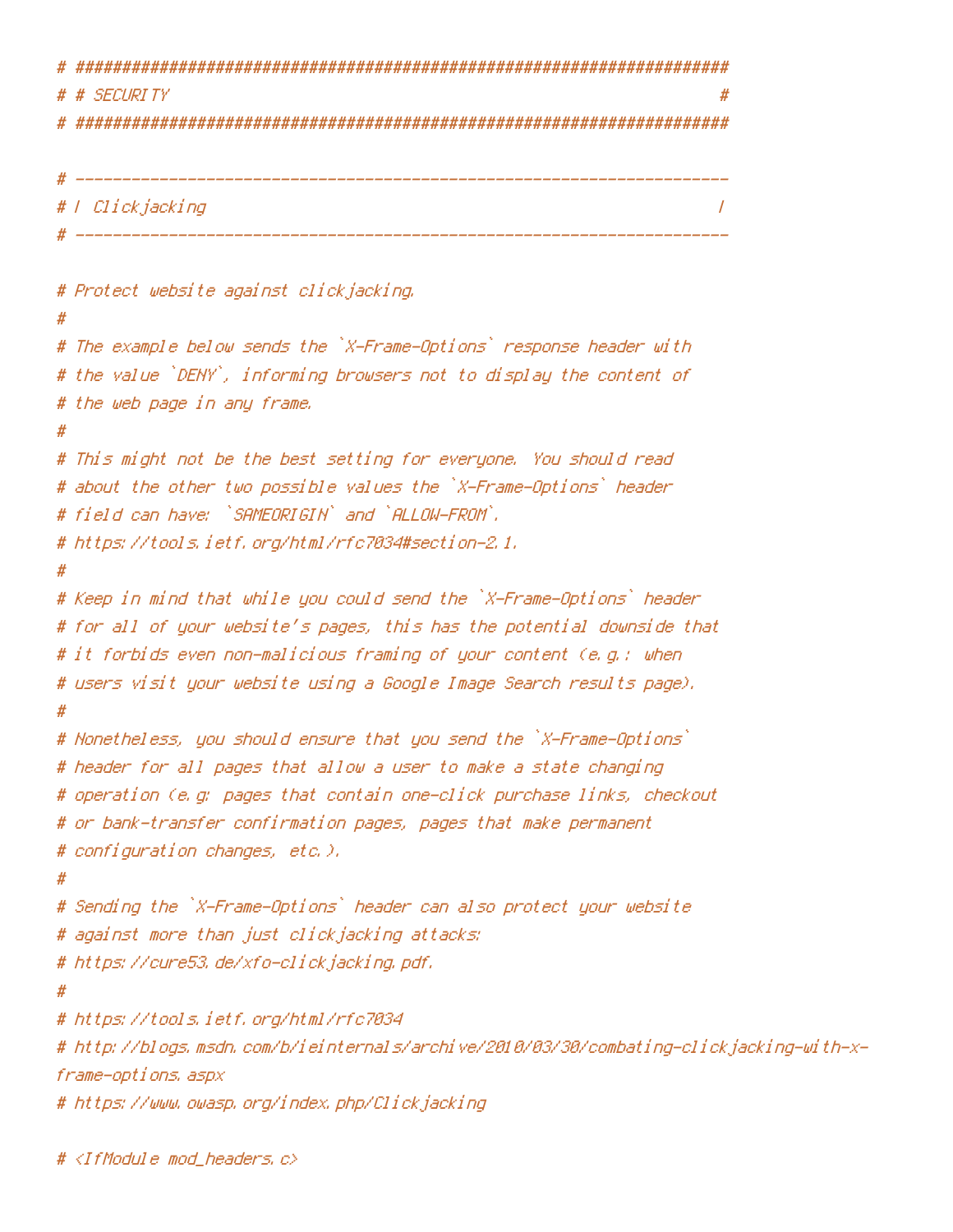```
# SECURITY
# | Clickjacking
                                                              \prime# Protect website against clickjacking.
# The example below sends the `X-Frame-Options` response header with
# the value `DENY`, informing browsers not to display the content of
# the web page in any frame.
#
# This might not be the best setting for everyone. You should read
# about the other two possible values the `X-Frame-Options` header
# field can have: `SAMEORIGIN` and `ALLOW-FROM`.
# https://tools.ietf.org/html/rfc7034#section-2.1.
#
# Keep in mind that while you could send the `X-Frame-Options` header
# for all of your website's pages, this has the potential downside that
# it forbids even non-malicious framing of your content (e.g.: when
# users visit your website using a Google Image Search results page).
# Nonetheless, you should ensure that you send the `X-Frame-Options`
# header for all pages that allow a user to make a state changing
# operation (e.g. pages that contain one-click purchase links, checkout
# or bank-transfer confirmation pages, pages that make permanent
# configuration changes, etc.).
# Sending the `X-Frame-Options` header can also protect your website
# against more than just clickjacking attacks:
# https://cure53.de/xfo-clickjacking.pdf.
# https://tools.ietf.org/html/rfc7034
# http://blogs.msdn.com/b/ieinternals/archive/2010/03/30/combating-clickjacking-with-x-
frame-options, aspx
# https://www.owasp.org/index.php/Clickjacking
```

```
# <IfModule mod_headers,c>
```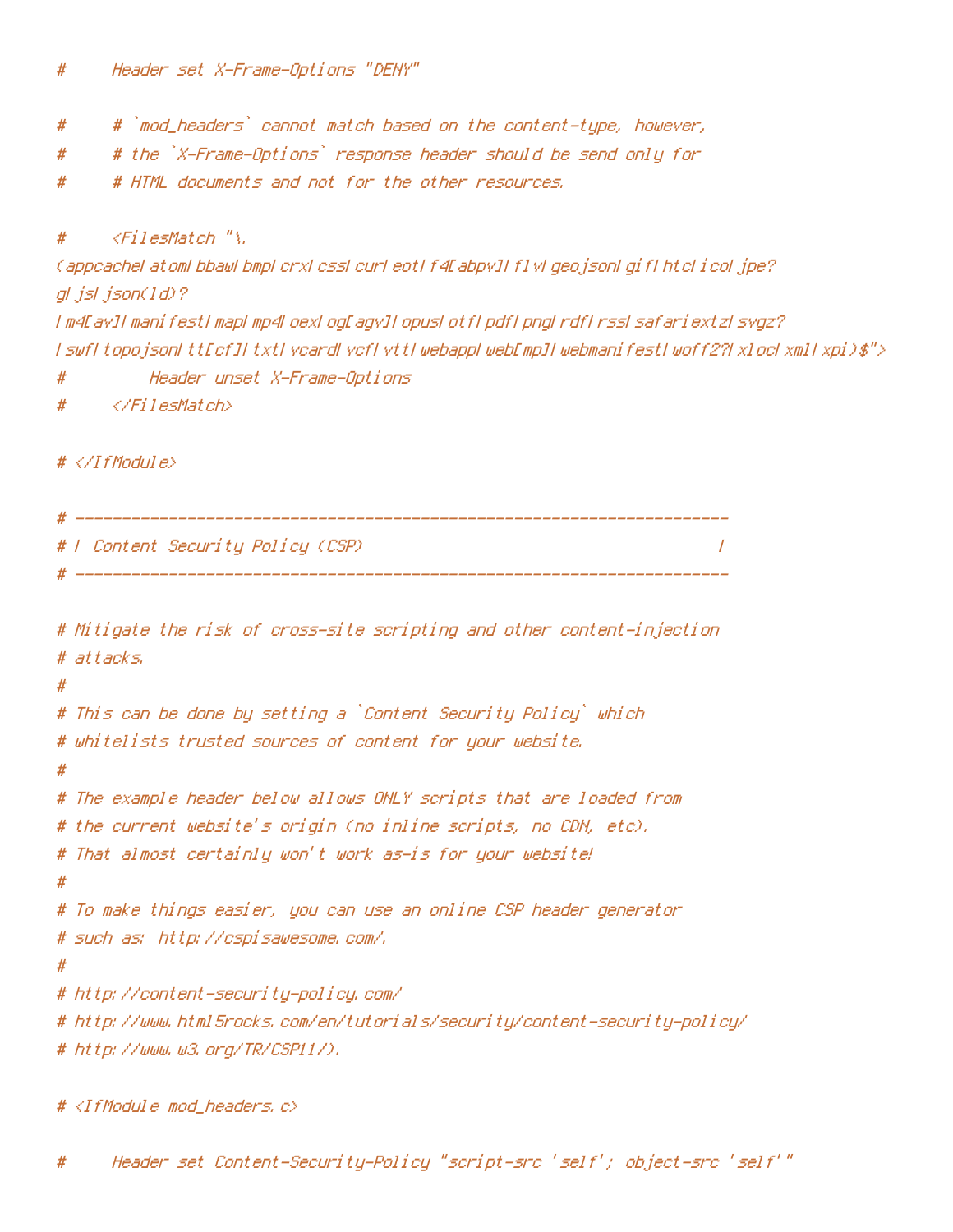- # `mod\_headers` cannot match based on the content-type, however, #
- # the `X-Frame-Options` response header should be send only for #
- # HTML documents and not for the other resources. #

#### $\langle$ FilesMatch "\. #

```
(appeachel atoml bbawl bmpl crxl essl curl eotl f4Eabpy][f] yl geo jsonl gif[htel i col jpe?
gl jsl json(1d)?
I m4EavJI manifestI mapI mp4LoexLogEagvJI opusLotfLpdfLpngLrdfLrssLsafariextzLsvgz?
I swfI topojsonI ttEcfJI txtI vcardI vcfI vttI webappI webEmpJI webmanifestI woff2?I xlocI xmlI xpi)$">
```
- $#$ Header unset X-Frame-Options
- </FilesMatch> #

## $# \langle \angle I$ fModule $\rangle$

```
# F Content Security Policy (CSP)
                                                                                             \overline{I}
```

```
# Mitigate the risk of cross-site scripting and other content-injection
# attacks.
# This can be done by setting a `Content Security Policy` which
# whitelists trusted sources of content for your website.
\boldsymbol{\#}# The example header below allows ONLY scripts that are loaded from
# the current website's origin (no inline scripts, no CDN, etc),
# That almost certainly won't work as-is for your website!
#
# To make things easier, you can use an online CSP header generator
# such as: http://cspisawesome.com/.
## http://content-security-policy.com/
# http://www.html5rocks.com/en/tutorials/security/content-security-policy/
# http://www.w3.org/TR/CSP11/).
```

```
# <IfModule mod headers, c>
```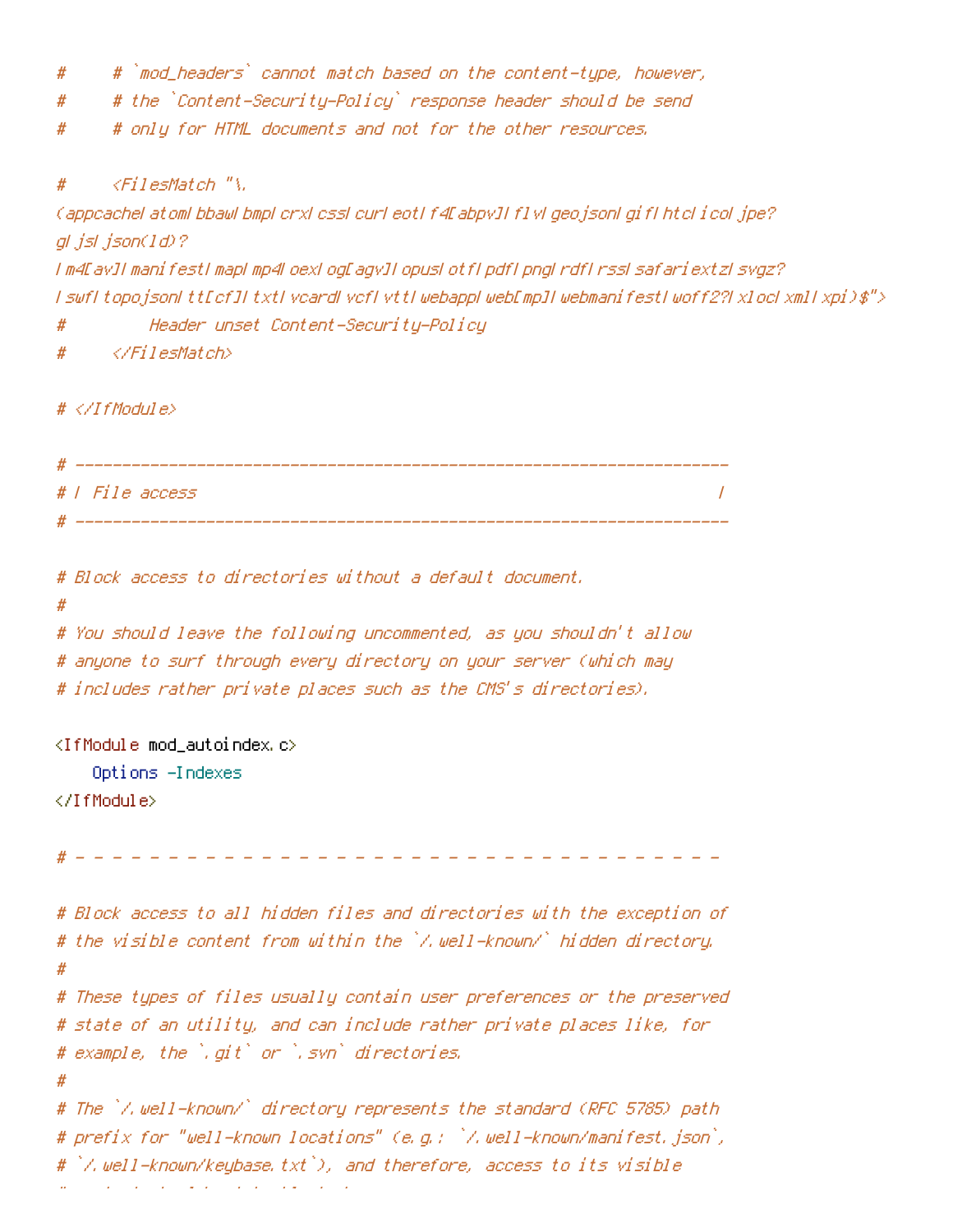- # `mod\_headers` cannot match based on the content-type, however, #
- # the `Content-Security-Policy` response header should be send #
- # only for HTML documents and not for the other resources. #

 $\langle$ FilesMatch "\. #

Cappcachel atoml bbawl bmpl crxl cssl curl eotl f4EabpvJI f1vl geojsonl gif1 htcl icol jpe? gl jsl json(1d)?

I m4EavII manifestI mapI mp4LoexLogEaqvII opusLotfLpdfLpngLrdfLrssLsafariextzLsvgz? I swfI topojsonI ttEcfJI txtI vcardI vcfI vttI webappLwebEmpJI webmanifestI woff2?I xlocLxmlI xpi)\$"> Header unset Content-Security-Policy  $#$ 

</FilesMatch> #

 $# \langle \angle If$ Module $\rangle$ 

```
# | File access
           \prime
```

```
# Block access to directories without a default document.
```
#

```
# You should leave the following uncommented, as you shouldn't allow
# anyone to surf through every directory on your server (which may
# includes rather private places such as the CMS's directories).
```
<IfModule mod\_autoindex.c>

Options -Indexes

</IfModule>

# Block access to all hidden files and directories with the exception of # the visible content from within the `/.well-known/` hidden directory.  $#$ # These types of files usually contain user preferences or the preserved # state of an utility, and can include rather private places like, for # example, the `.qit` or `.svn` directories.  $#$ # The `/.well-known/` directory represents the standard (RFC 5785) path # prefix for "well-known locations" (e.g.: `/.well-known/manifest.json`, # `/.well-known/keybase.txt`), and therefore, access to its visible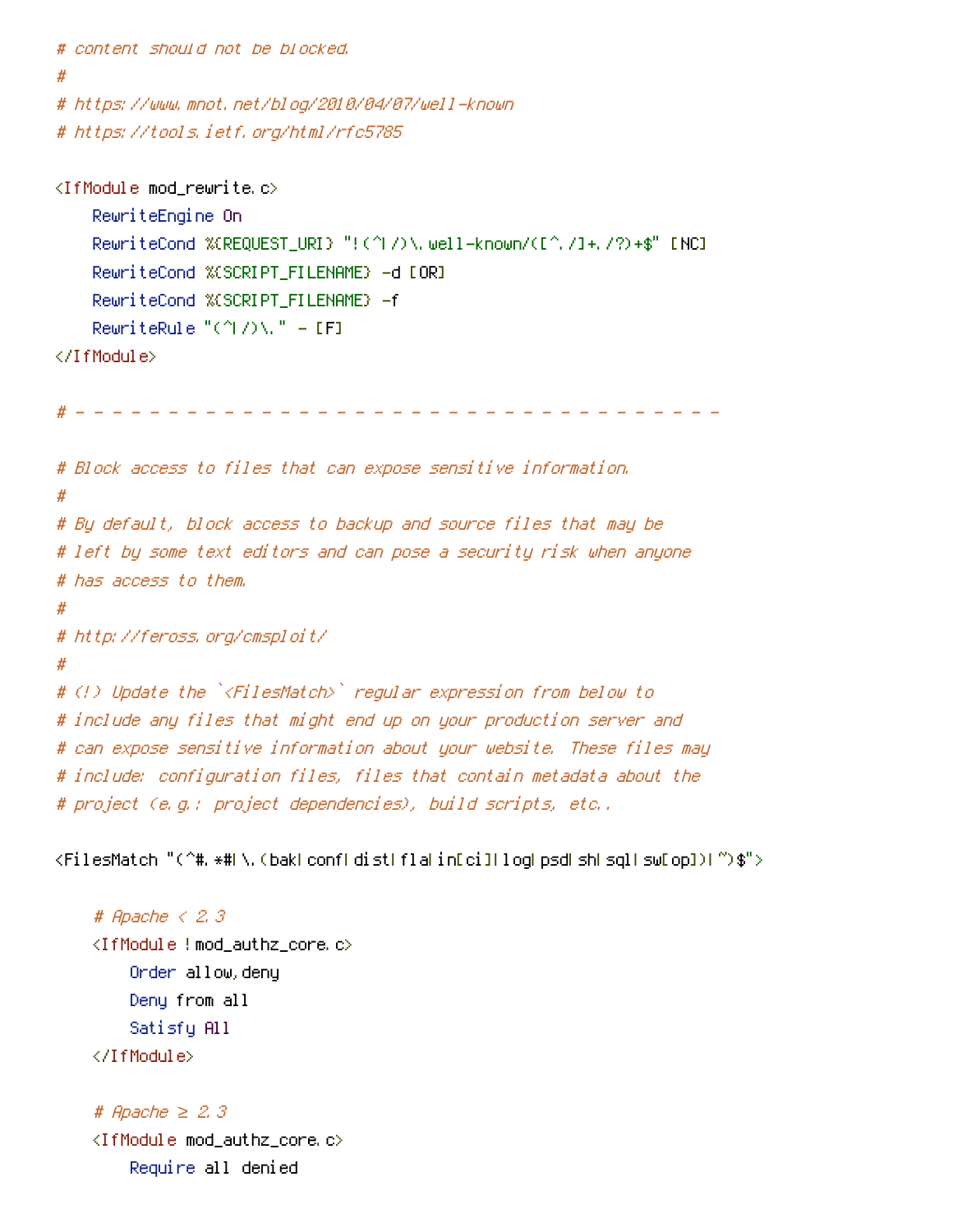```
# content should not be blocked.
#
# https://www.mnot.net/blog/2010/04/07/well-known
# https://tools.ietf.org/html/rfc5785
```

```
<IfModule mod_rewrite.c>
    RewriteEngine On
    RewriteCond %(REQUEST_URI) "!(^I/)\, well-known/([^,/]+,/?)+$" [NC]
    RewriteCond %(SCRIPT_FILENAME) -d [OR]
    RewriteCond %(SCRIPT_FILENAME) -f
    RewriteRule "(\uparrow \wedge) \wedge \cdots = [F]</IfModule>
```

```
# Block access to files that can expose sensitive information.
#
# By default, block access to backup and source files that may be
# left by some text editors and can pose a security risk when anyone
# has access to them.
#
# http://feross.org/cmsploit/
#
# (!) Update the `<FilesMatch>` regular expression from below to
# include any files that might end up on your production server and
# can expose sensitive information about your website. These files may
# include: configuration files, files that contain metadata about the
# project (e.g.: project dependencies), build scripts, etc..
```
<FilesMatch "(^#, \*#| \, (bak| conf| dist| fla| in[ci]| log| psd| sh| sql| sw[op])| ~)\$">

```
# Apache \langle 2, 3 \rangle<IfModule!mod_authz_core.c>
    Order allow, deny
    Deny from all
    Satisfy All
</IfModule>
```

```
# Apache \geq 2.3
<IfModule mod_authz_core.c>
    Require all denied
```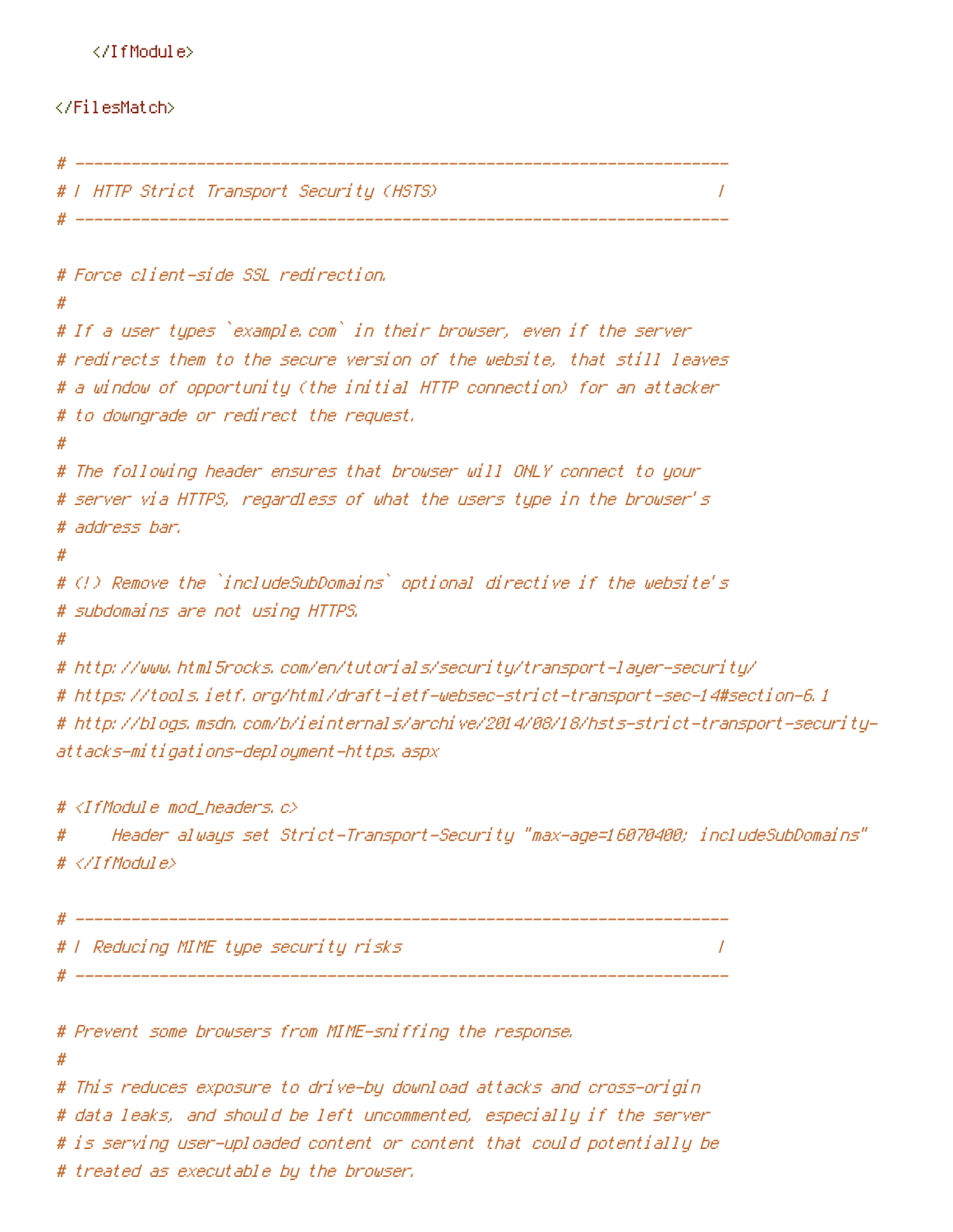#### </IfModule>

#### </FilesMatch>

```
# T HTTP Strict Transport Security (HSTS)
                                                                         \prime# -------------------------
# Force client-side SSL redirection.
#
# If a user tupes `example.com` in their browser, even if the server
# redirects them to the secure version of the website, that still leaves
# a window of opportunity (the initial HTTP connection) for an attacker
# to downgrade or redirect the request.
## The following header ensures that browser will ONLY connect to your
# server via HTTPS, regardless of what the users type in the browser's
# address har.
\boldsymbol{\#}# (!) Remove the `includeSubDomains` optional directive if the website's
# subdomains are not using HTTPS.
## http://www.html5rocks.com/en/tutorials/security/transport-layer-security/
# https://tools.ietf.org/html/draft-ietf-websec-strict-transport-sec-14#section-6.1
# http://blogs.msdn.com/b/ieinternals/archive/2014/08/18/hsts-strict-transport-security-
attacks-mitigations-deployment-https,aspx
```
#  $\langle$ IfModule mod headers,  $c$ > "Header always set Strict-Transport-Security "max-age=16070400; includeSubDomains # # </TfModule>

```
# F Reducing MIME type security risks
                                   \prime# _________________
```

```
# Prevent some browsers from MIME-sniffing the response.
#
# This reduces exposure to drive-by download attacks and cross-origin
# data leaks, and should be left uncommented, especially if the server
# is serving user-uploaded content or content that could potentially be
# treated as executable by the browser,
```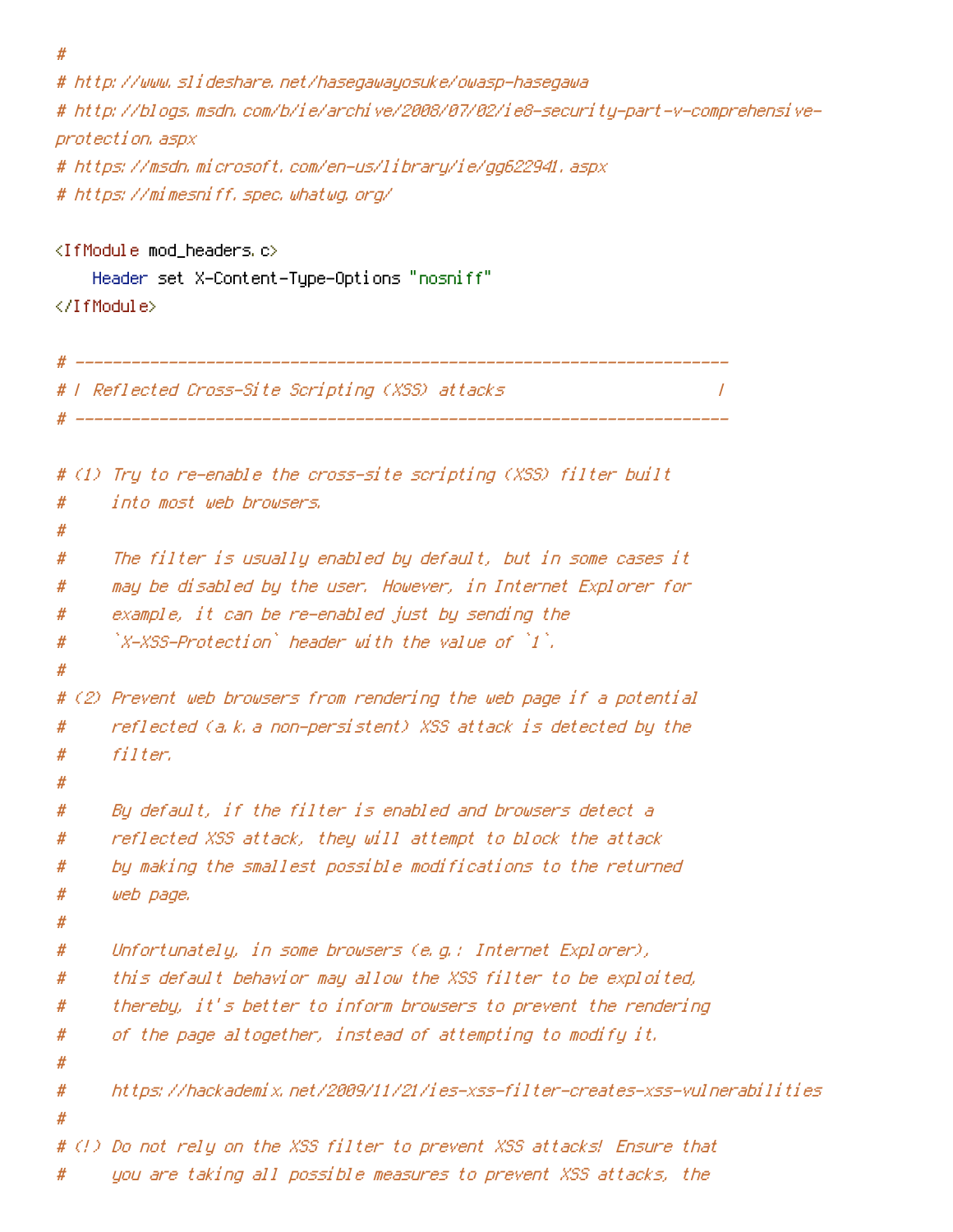$#$ 

# http://www.slideshare.net/hasegawayosuke/owasp-hasegawa # http://blogs.msdn.com/b/ie/archive/2008/07/02/ie8-security-part-v-comprehensiveprotection, aspx # https://msdn.microsoft.com/en-us/library/ie/gg622941.aspx

# https://mimesniff.spec.whatwg.org/

<IfModule mod headers.c> Header set X-Content-Type-Options "nosniff" </IfModule>

```
# | Reflected Cross-Site Scripting (XSS) attacks |
                                                                          \prime# ------------------
# (1) Try to re-enable the cross-site scripting (XSS) filter built
      into most web browsers,
\boldsymbol{\#}#
      The filter is usually enabled by default, but in some cases it
#
      may be disabled by the user. However, in Internet Explorer for
#
#example, it can be re-enabled just by sending the
      \lambda-XSS-Protection) header with the value of \lambda.
#
#
# (2) Prevent web browsers from rendering the web page if a potential
      reflected (a.k.a non-persistent) XSS attack is detected by the
#
      filter.
##
#
      By default, if the filter is enabled and browsers detect a
      reflected XSS attack, they will attempt to block the attack
#
      by making the smallest possible modifications to the returned
#
      web page.
#
#
#Unfortunately, in some browsers (e.g.: Internet Explorer),
      this default behavior may allow the XSS filter to be exploited,
#
      thereby, it's better to inform browsers to prevent the rendering
#
      of the page altogether, instead of attempting to modify it.
#
#
      https://hackademix.net/2009/11/21/ies-xss-filter-creates-xss-vulnerabilities
#
#
# (!) Do not rely on the XSS filter to prevent XSS attacks! Ensure that
      you are taking all possible measures to prevent XSS attacks, the
#
```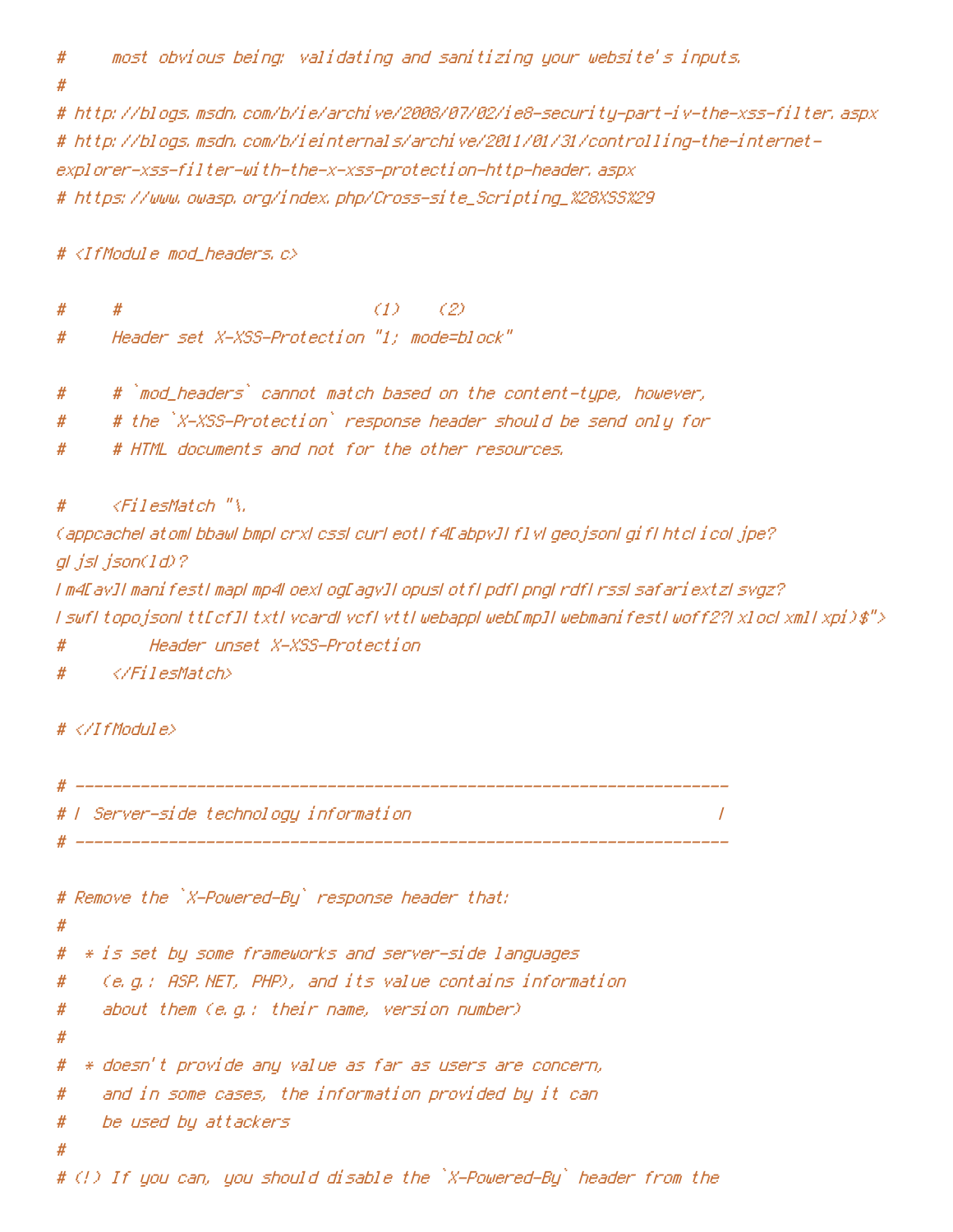# most obvious being: validating and sanitizing your website's inputs.

# http://blogs.msdn.com/b/ie/archive/2008/07/02/ie8-security-part-iv-the-xss-filter.aspx # http://blogs.msdn.com/b/ieinternals/archive/2011/01/31/controlling-the-internetexplorer-xss-filter-with-the-x-xss-protection-http-header, aspx # https://www.owasp.org/index.php/Cross-site\_Scripting\_%28XSS%29

# <IfModule mod\_headers.c>

# #  $(1)$   $(2)$ 

Header set X-XSS-Protection "1; mode=block" #

# `mod\_headers` cannot match based on the content-type, however, #

# the `X-XSS-Protection` response header should be send only for #

# HTML documents and not for the other resources. #

 $\langle$ FilesMatch "\. #

(appcachel atoml bbawl bmpl crxl cssl curl eotl f4EabpvJI f1vl geojsonl gif1 htcl icol jpe? gl jsl json(1d)?

I m4EavJI manifestI mapI mp4LoexLogEagvJI opusLotfLpdfLpngLrdfLrssLsafariextzLsvgz? I swfI topojsonI ttEcfJI txtI vcardI vcfI vttI webappI webEmpJI webmanifestI woff2?I xlocI xmlI xpi)\$">

Header unset X-XSS-Protection #

</FilesMatch> #

 $# \langle \angle If$ Module $\rangle$ 

```
# F Server-side technology information #
```

```
# Remove the `X-Powered-By` response header that:
#
  * is set by some frameworks and server-side languages
#
    (e.g.: ASP.NET, PHP), and its value contains information
#
     about them (e.g.: their name, version number)
#
#
  * doesn't provide any value as far as users are concern,
#
    and in some cases, the information provided by it can
#
    be used by attackers
#
#
# (!) If you can, you should disable the `X-Powered-By` header from the
```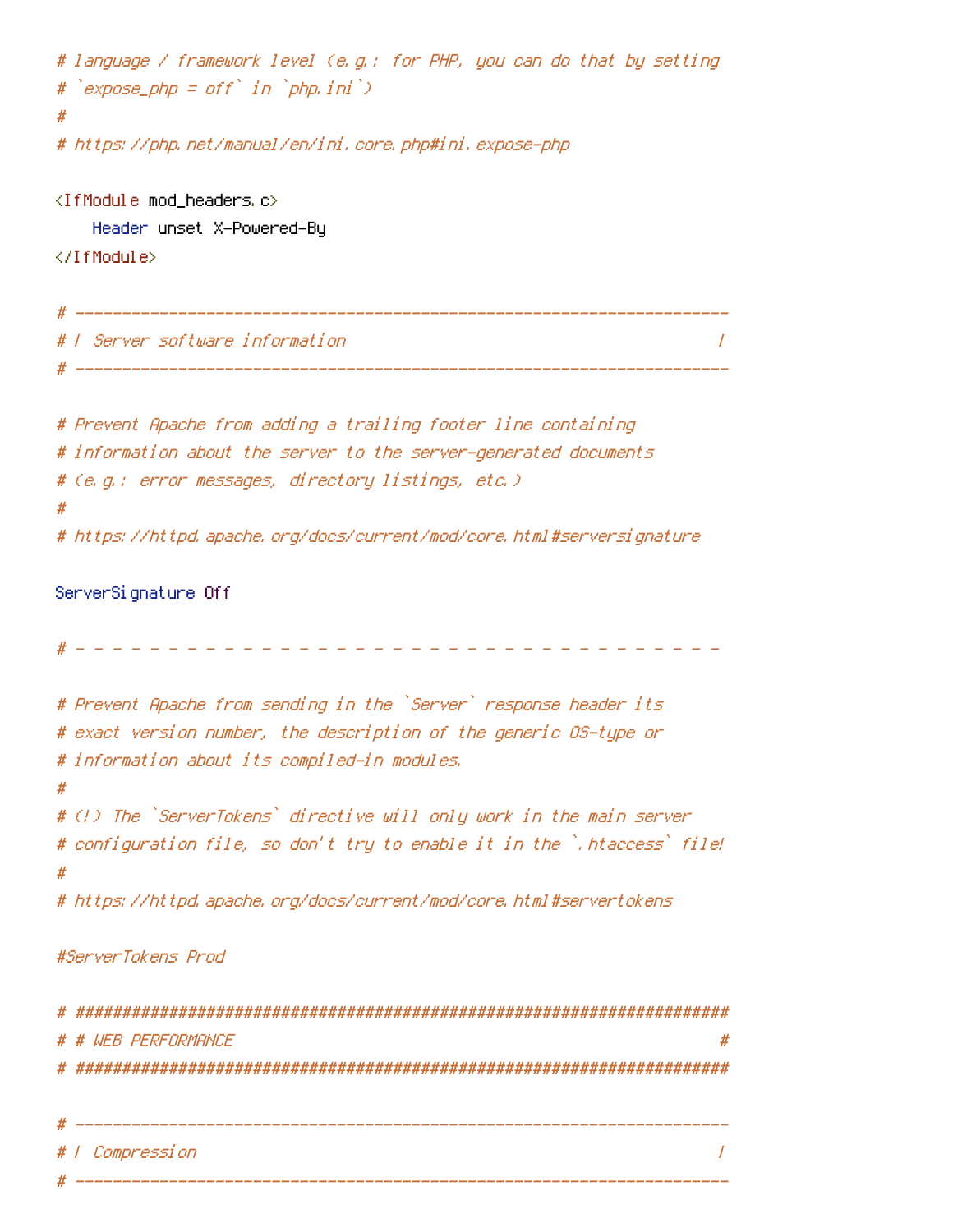```
# language / framework level (e.g.: for PHP, you can do that by setting
# expose.php = off' in 'phen.in')Ħ
# https://php.net/manual/en/ini.core.php#ini.expose-php
\langleIfModule mod headers, c\rangleHeader unset X-Powered-By
</IfModule>
# 1 Server software information
                                                     \prime# Prevent Apache from adding a trailing footer line containing
# information about the server to the server-generated documents
# (e.g.: error messages, directory listings, etc.)
## https://httpd.apache.org/docs/current/mod/core.html#serversignature
ServerSignature Off
# Prevent Apache from sending in the `Server` response header its
# exact version number, the description of the generic OS-type or
# information about its compiled-in modules.
## (!) The `ServerTokens` directive will only work in the main server
# configuration file, so don't try to enable it in the `.htaccess` file!
Ħ
# https://httpd.apache.org/docs/current/mod/core.html#servertokens
#ServerTokens Prod
# # WFR PFRFORMANCF
```
# | Compression  $\prime$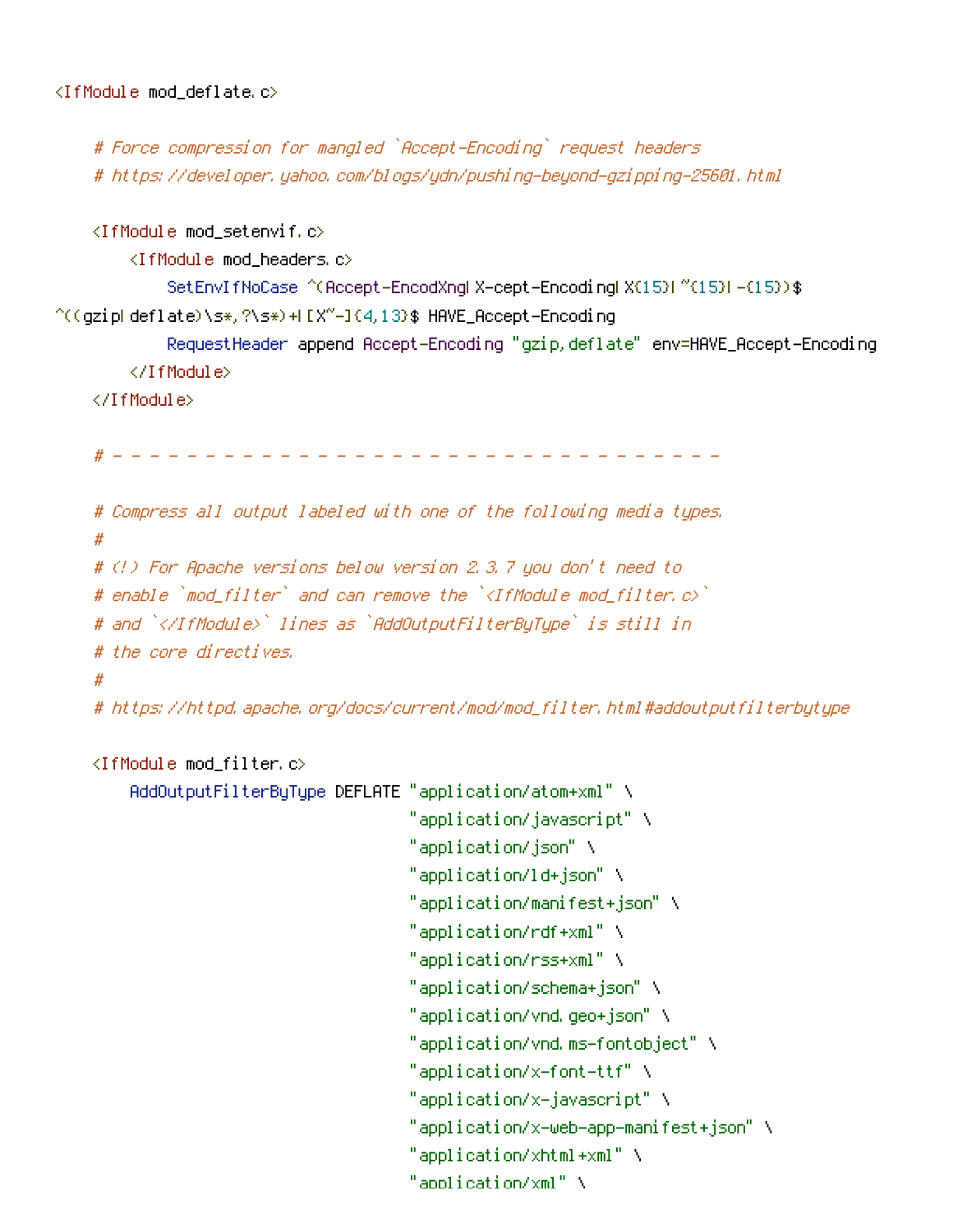```
# Force compression for mangled `Accept-Encoding` request headers
   # https://developer.yahoo.com/blogs/ydn/pushing-beyond-gzipping-25601.html
   <IfModule mod_setenvif.c>
       <IfModule mod headers.c>
           SetEnvIfNoCase ^(Accept-EncodXngl X-cept-Encodingl X(15)1 ^(15)1-(15)) $
\hat{C}((qzipkdeflate)\s*,?\s*)+k[X"-]{4,13}$ HAVE_Accept-Encoding
           RequestHeader append Accept-Encoding "gzip, deflate" env=HAVE_Accept-Encoding
       </IfModule>
   </IfModule>
   # Compress all output labeled with one of the following media types.
   ## (!) For Apache versions below version 2,3,7 you don't need to
   # enable `mod filter` and can remove the `<IfModule mod filter.c>`
   # and `</IfModule>` lines as `AddOutputFilterByType` is still in
```
# the core directives.

# https://httpd.apache.org/docs/current/mod/mod\_filter.html#addoutputfilterbytype

<IfModule mod filter.c>

```
AddOutputFilterByType DEFLATE "application/atom+xml" \
                              "application/javascript" \
                              "application/json" \
                              "application/ld+json" \
                              "application/manifest+json" \
                              "application/rdf+xml" \
                              "application/rss+xml" \
                              "application/schema+json" \
                              "application/vnd.geo+json" \
                              "application/vnd.ms-fontobject" \
                              "application/x-font-ttf" \
                              "application/x-javascript" \
                              "application/x-web-app-manifest+json" \
                              "application/xhtml+xml" \
                              "application/xml" \
```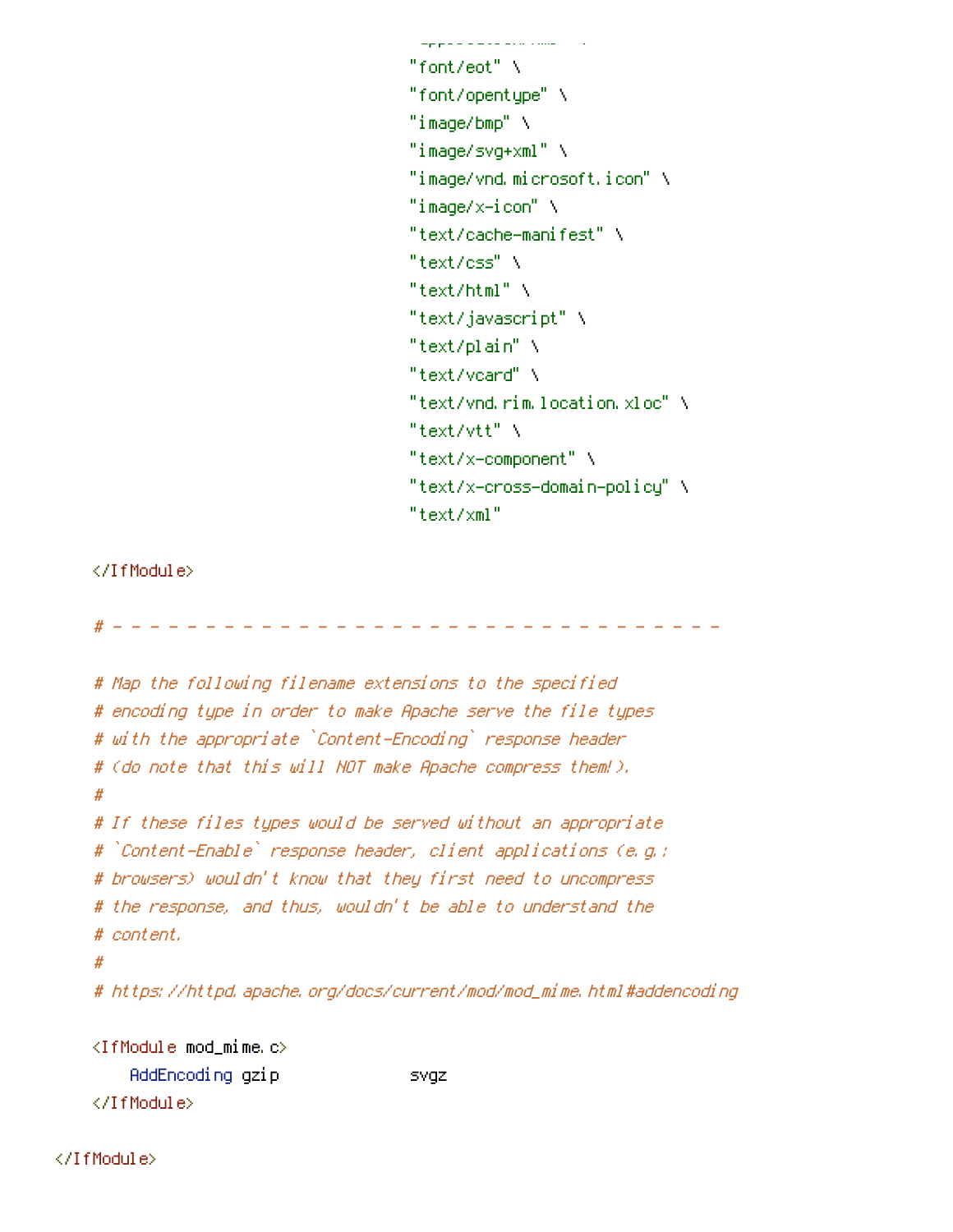```
an a sea ca ser o cona
"font/eot" \
"font/opentype"\
"image/bmp" \
"image/svg+xml" \
"image/vnd.microsoft.icon" \
"image/x-icon" \
"text/cache-manifest" \
"text/css" \
"text/html" \
"text/javascript" \
"text/plain" \
"text/voard" \
"text/vnd.rim.location.xloc"\
"text/vtt" \
"text/x-component" \
"text/x-cross-domain-policy" \
"text/xml"
```
</IfModule>

```
# Map the following filename extensions to the specified
# encoding type in order to make Apache serve the file types
# with the appropriate `Content-Encoding` response header
# (do note that this will NOT make Apache compress them!).
## If these files types would be served without an appropriate
# `Content-Enable` response header, client applications (e.g.:
# browsers) wouldn't know that they first need to uncompress
# the response, and thus, wouldn't be able to understand the
# content.
## https://httpd.apache.org/docs/current/mod/mod_mime.html#addencoding
<IfModule mod_mime.c>
    AddEncoding gzip
                                 svgz
```
</IfModule>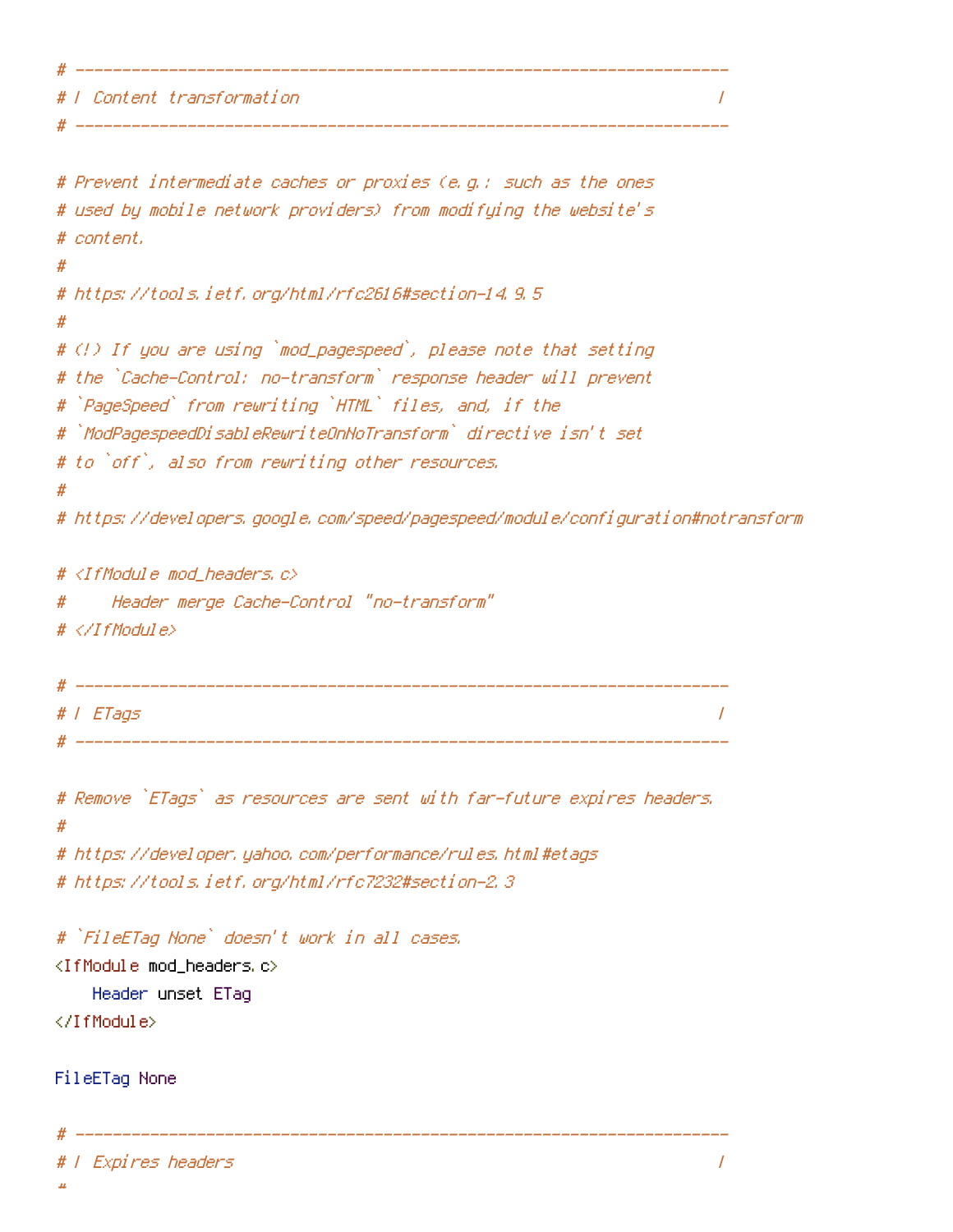```
# W Content transformation
                       \overline{I}
```

```
# Prevent intermediate caches or proxies (e.g.; such as the ones
# used by mobile network providers) from modifying the website's
# content.
# https://tools.ietf.org/html/rfc2616#section-14.9.5
# (!) If you are using `mod_pagespeed`, please note that setting
# the `Cache-Control: no-transform` response header will prevent
# `PageSpeed` from rewriting `HTML` files, and, if the
# `ModPagespeedDisableRewriteOnNoTransform` directive isn't set
# to `off`, also from rewriting other resources.
#
# https://developers.google.com/speed/pagespeed/module/configuration#notransform
# <IfModule mod_headers.c>
     Header merge Cache-Control "no-transform"
#
# </TfModule>
 # | ETags
                                                                 \prime# Remove `ETags` as resources are sent with far-future expires headers.
\boldsymbol{\#}# https://developer.yahoo.com/performance/rules.html#etags
# https://tools.ietf.org/html/rfc7232#section-2.3
# `FileETag None` doesn't work in all cases.
<IfModule mod_headers.c>
   Header unset ETag
</TifModule>
FileETag None
```
\_\_\_\_\_\_\_\_\_\_\_\_\_\_\_\_\_\_\_\_

```
I Expires headers
```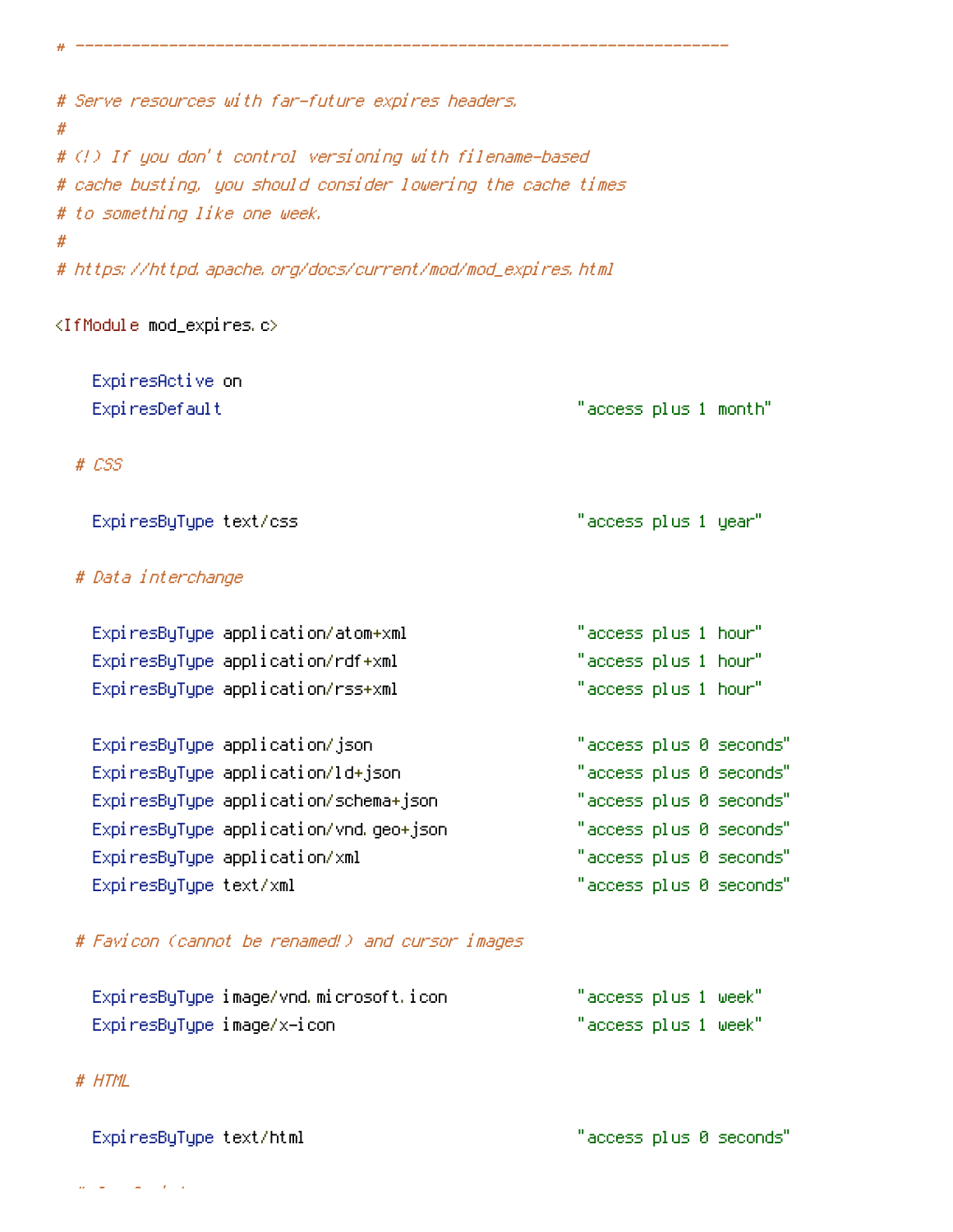| # Serve resources with far-future expires headers,<br>#       |                         |
|---------------------------------------------------------------|-------------------------|
| # (!) If you don't control versioning with filename-based     |                         |
| # cache busting, you should consider lowering the cache times |                         |
| # to something like one week.                                 |                         |
| #                                                             |                         |
| # https://httpd.apache.org/docs/current/mod/mod_expires.html  |                         |
| <ifmodule mod_expires.c=""></ifmodule>                        |                         |
| ExpiresActive on                                              |                         |
| ExpiresDefault                                                | "access plus 1 month"   |
| $# \text{ } \mathcal{L}SS$                                    |                         |
| ExpiresByType text/css                                        | "access plus 1 year"    |
| # Data interchange                                            |                         |
| ExpiresByType application/atom+xml                            | "access plus 1 hour"    |
| ExpiresByType application/rdf+xml                             | "access plus 1 hour"    |
| ExpiresByType application/rss+xml                             | "access plus 1 hour"    |
| ExpiresByType application/json                                | "access plus 0 seconds" |
| ExpiresByType application/ld+json                             | "access plus 0 seconds" |
| ExpiresByType application/schema+json                         | "access plus 0 seconds" |
| ExpiresByType application/vnd.geo+json                        | "access plus 0 seconds" |
| ExpiresByType application/xml                                 | "access plus 0 seconds" |
| ExpiresByType text/xml                                        | "access plus 0 seconds" |
| # Favicon (cannot be renamed!) and cursor images              |                         |
| ExpiresByType image/vnd.microsoft.icon                        | "access plus 1 week"    |
| ExpiresByType image/x-icon                                    | "access plus 1 week"    |

# # HTML

ExpiresByType text/html "access plus 0 seconds"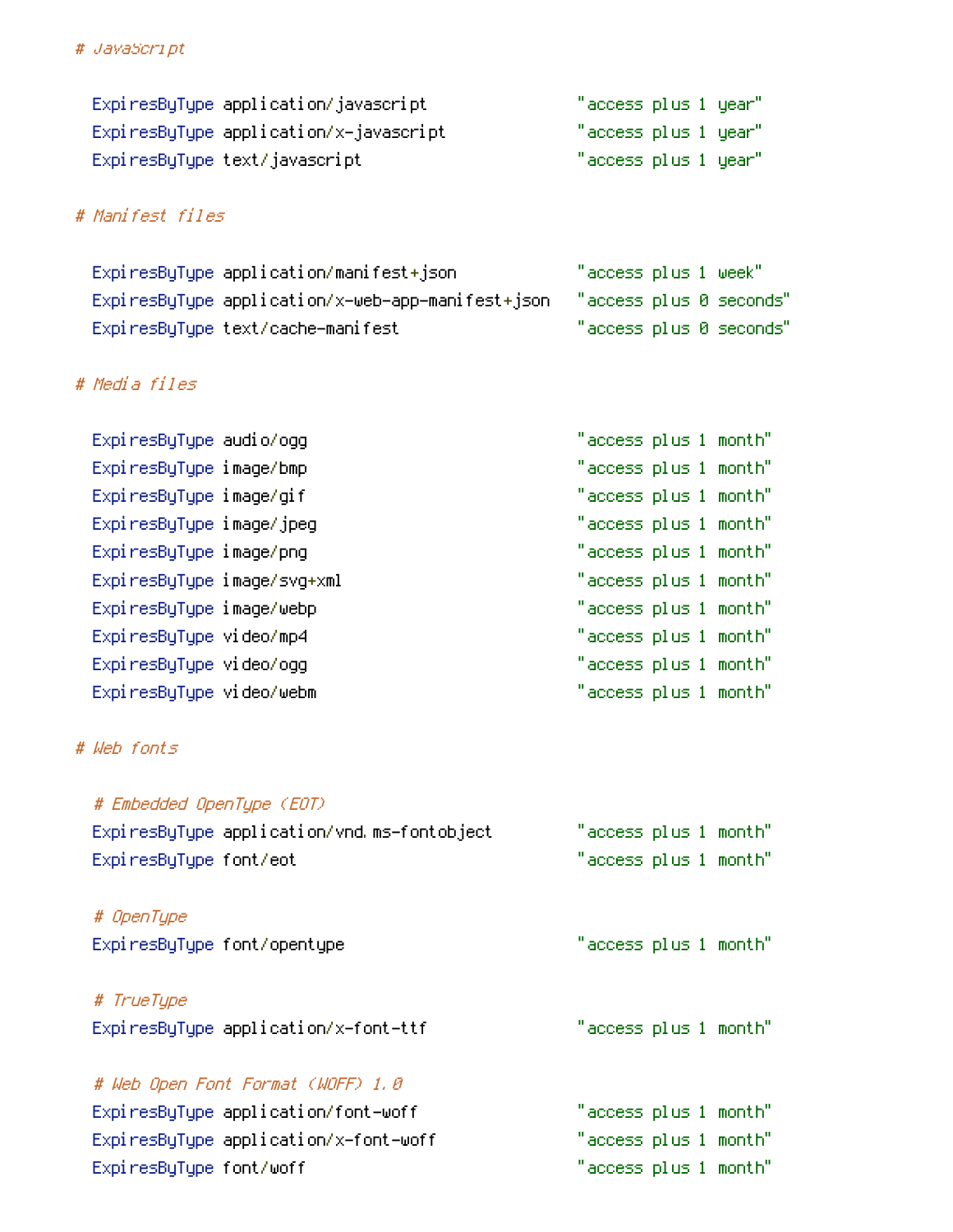### # JavaScript

| ExpiresByType application/javascript   | "access plus 1 year" |  |
|----------------------------------------|----------------------|--|
| ExpiresByType application/x-javascript | "access plus 1 year" |  |
| ExpiresByType text/javascript.         | "access plus 1 year" |  |

## # Manifest files

| ExpiresByType application/manifest+json                                   | "access plus 1 week" |                         |
|---------------------------------------------------------------------------|----------------------|-------------------------|
| ExpiresByType application/x-web-app-manifest+json "access plus 0 seconds" |                      |                         |
| ExpiresByType text/cache-manifest                                         |                      | "access plus 0 seconds" |

## # Media files

| Expi resByType audio/ogg    | "access plus 1 month" |
|-----------------------------|-----------------------|
| ExpiresByType image/bmp     | "access plus 1 month" |
| ExpiresByType image/gif     | "access plus 1 month" |
| ExpiresByType image/jpeg    | "access plus 1 month" |
| ExpiresByType image/png     | "access plus 1 month" |
| ExpiresByType image/svg+xml | "access plus 1 month" |
| ExpiresByType image/webp    | "access plus 1 month" |
| ExpiresByType video/mp4     | "access plus 1 month" |
| ExpiresByType video/ogg     | "access plus 1 month" |
| ExpiresByType video/webm    | "access plus 1 month" |

## # Web fonts

| # Embedded OpenType (EOT)                   |                       |
|---------------------------------------------|-----------------------|
| ExpiresByType application/vnd.ms-fontobject | "access plus 1 month" |
| ExpiresByType font/eot                      | "access plus 1 month" |
| # OpenType<br>ExpiresByType font/opentype   | "access plus 1 month" |

# # TrueType ExpiresByType application/x-font-ttf

# # Web Open Font Format (WOFF) 1.0

ExpiresByType application/font-woff ExpiresByType application/x-font-woff ExpiresByType font/woff

"access plus 1 month" "access plus 1 month" "access plus 1 month"

"access plus 1 month"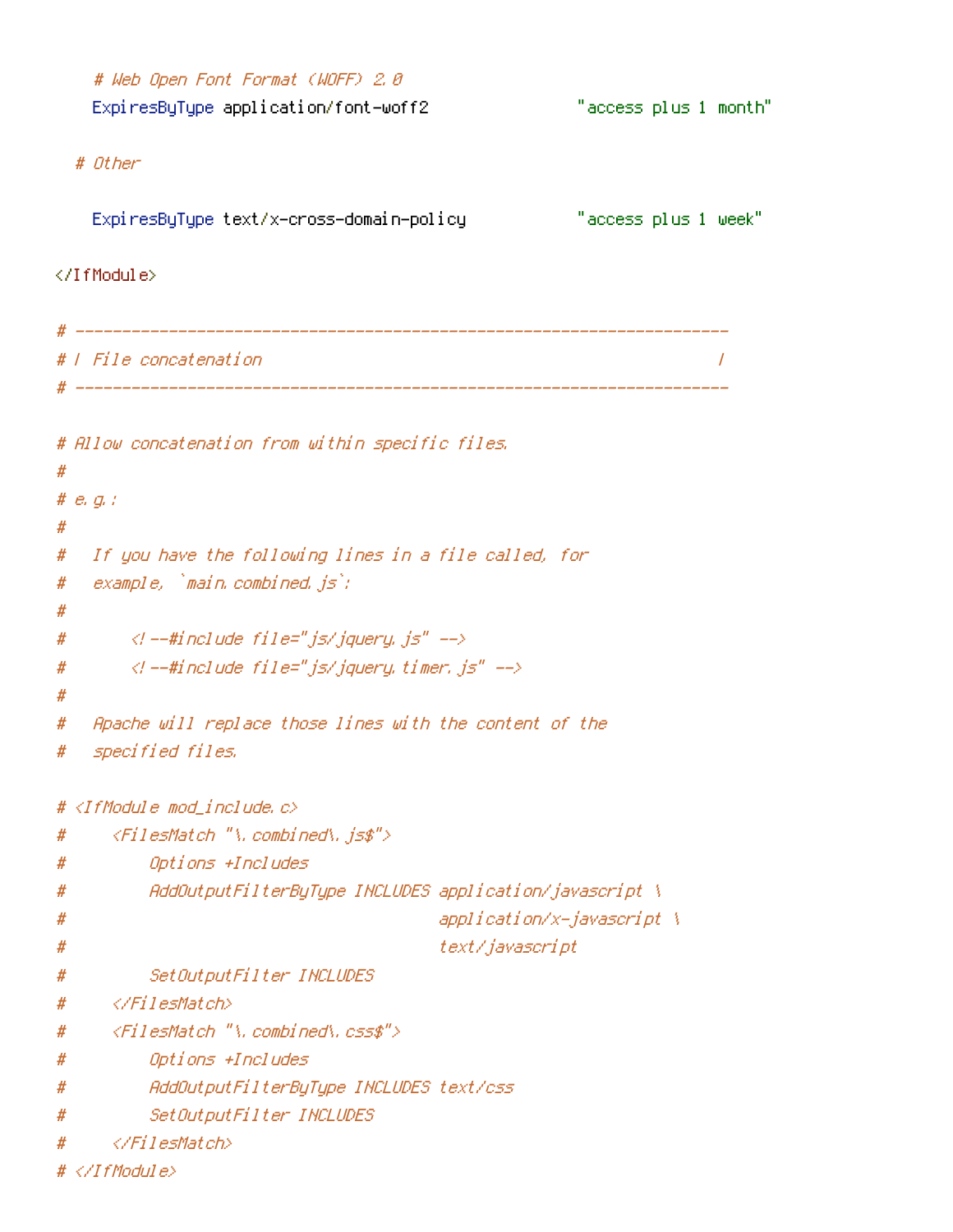# Web Open Font Format (WOFF) 2.0 ExpiresByType application/font-woff2 "access plus 1 month" # Other "access plus 1 week" ExpiresByType text/x–cross–domain–policy </IfModule> # | File concatenation  $\overline{1}$ # Allow concatenation from within specific files.  $#$ #  $e$ ,  $q$ ,  $t$ #  $#$ If you have the following lines in a file called, for  $example$ ,  $`main$ . combined,  $is`$ ; # #  $\langle$ l --#include file="js/jquery, js" -->  $#$  $\langle$ l --#include file="js/jquery.timer.js" --> # # Apache will replace those lines with the content of the # specified files. # #  $\langle IfM$ odule mod include.c> <FilesMatch "\.combined\.js\$"> # # Options +Includes AddOutputFilterByType INCLUDES application/javascript \ # application/x-javascript \ # text/javascript #  $\#$ SetOutputFilter INCLUDES </FilesMatch> #  $\langle$ FilesMatch "\, combined\, css\$"> # Options +Includes # AddOutputFilterBuTupe INCLUDES text/css  $#$  $#$ SetOutputFilter INCLUDES </FilesMatch>  $\boldsymbol{\#}$  $# \langle \angle I$ fModule>